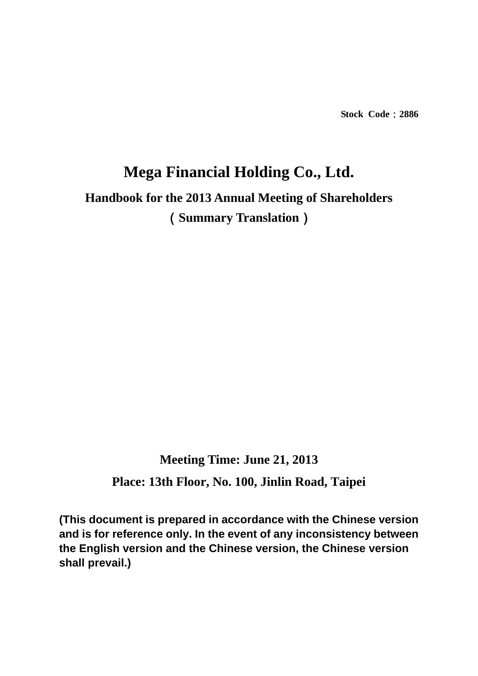**Stock Code**:**2886** 

# **Mega Financial Holding Co., Ltd. Handbook for the 2013 Annual Meeting of Shareholders**  (**Summary Translation**)

# **Meeting Time: June 21, 2013**

**Place: 13th Floor, No. 100, Jinlin Road, Taipei** 

**(This document is prepared in accordance with the Chinese version and is for reference only. In the event of any inconsistency between the English version and the Chinese version, the Chinese version shall prevail.)**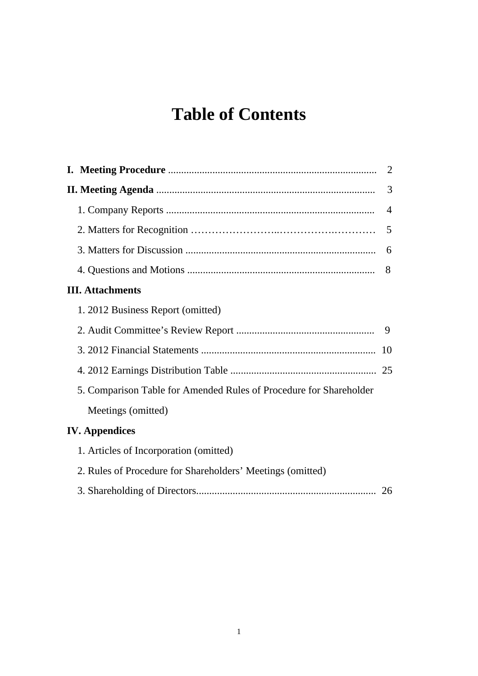# **Table of Contents**

|                         |                                                                    | 2              |
|-------------------------|--------------------------------------------------------------------|----------------|
|                         |                                                                    | 3              |
|                         |                                                                    | $\overline{4}$ |
|                         |                                                                    | 5              |
|                         |                                                                    | 6              |
|                         |                                                                    | 8              |
| <b>III.</b> Attachments |                                                                    |                |
|                         | 1. 2012 Business Report (omitted)                                  |                |
|                         |                                                                    | 9              |
|                         |                                                                    | 10             |
|                         |                                                                    |                |
|                         | 5. Comparison Table for Amended Rules of Procedure for Shareholder |                |
|                         | Meetings (omitted)                                                 |                |
| <b>IV.</b> Appendices   |                                                                    |                |
|                         | 1. Articles of Incorporation (omitted)                             |                |
|                         | 2. Rules of Procedure for Shareholders' Meetings (omitted)         |                |
|                         |                                                                    | 26             |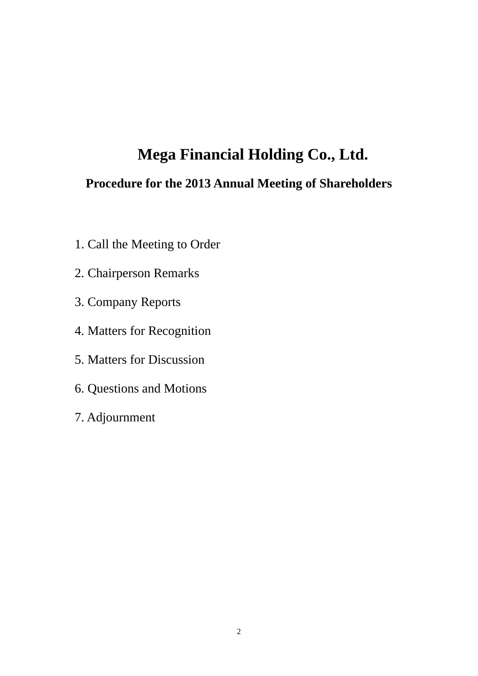# **Mega Financial Holding Co., Ltd.**

# **Procedure for the 2013 Annual Meeting of Shareholders**

- 1. Call the Meeting to Order
- 2. Chairperson Remarks
- 3. Company Reports
- 4. Matters for Recognition
- 5. Matters for Discussion
- 6. Questions and Motions
- 7. Adjournment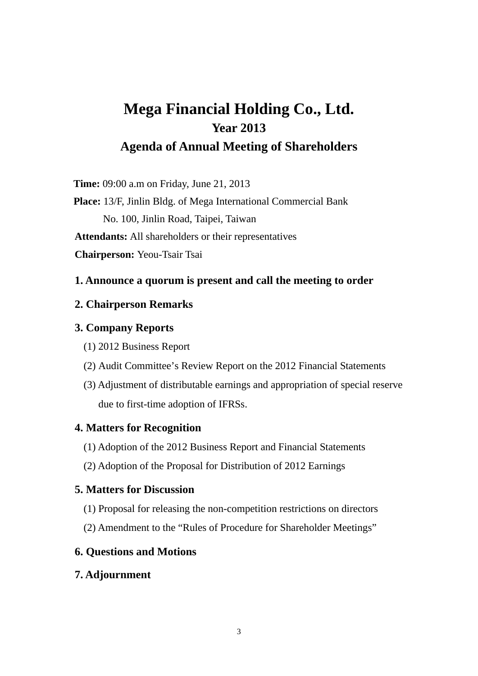# **Mega Financial Holding Co., Ltd. Year 2013 Agenda of Annual Meeting of Shareholders**

**Time:** 09:00 a.m on Friday, June 21, 2013

**Place:** 13/F, Jinlin Bldg. of Mega International Commercial Bank No. 100, Jinlin Road, Taipei, Taiwan **Attendants:** All shareholders or their representatives **Chairperson:** Yeou-Tsair Tsai

## **1. Announce a quorum is present and call the meeting to order**

### **2. Chairperson Remarks**

## **3. Company Reports**

- (1) 2012 Business Report
- (2) Audit Committee's Review Report on the 2012 Financial Statements
- (3) Adjustment of distributable earnings and appropriation of special reserve due to first-time adoption of IFRSs.

# **4. Matters for Recognition**

- (1) Adoption of the 2012 Business Report and Financial Statements
- (2) Adoption of the Proposal for Distribution of 2012 Earnings

# **5. Matters for Discussion**

- (1) Proposal for releasing the non-competition restrictions on directors
- (2) Amendment to the "Rules of Procedure for Shareholder Meetings"

# **6. Questions and Motions**

# **7. Adjournment**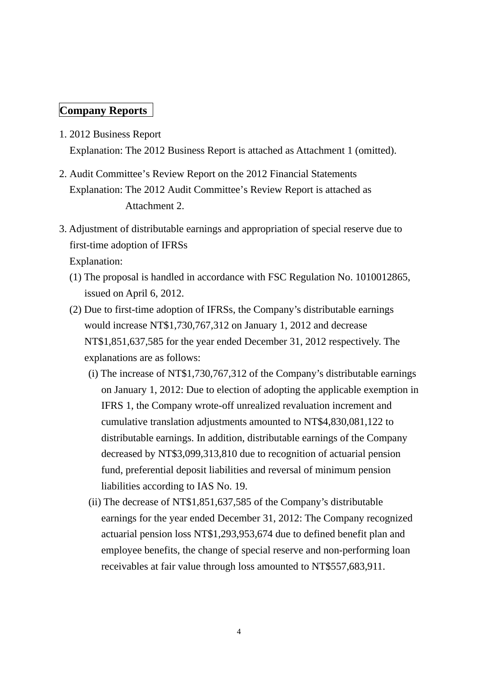## **Company Reports**

- 1. 2012 Business Report Explanation: The 2012 Business Report is attached as Attachment 1 (omitted).
- 2. Audit Committee's Review Report on the 2012 Financial Statements Explanation: The 2012 Audit Committee's Review Report is attached as Attachment 2.
- 3. Adjustment of distributable earnings and appropriation of special reserve due to first-time adoption of IFRSs

Explanation:

- (1) The proposal is handled in accordance with FSC Regulation No. 1010012865, issued on April 6, 2012.
- (2) Due to first-time adoption of IFRSs, the Company's distributable earnings would increase NT\$1,730,767,312 on January 1, 2012 and decrease NT\$1,851,637,585 for the year ended December 31, 2012 respectively. The explanations are as follows:
	- (i) The increase of NT\$1,730,767,312 of the Company's distributable earnings on January 1, 2012: Due to election of adopting the applicable exemption in IFRS 1, the Company wrote-off unrealized revaluation increment and cumulative translation adjustments amounted to NT\$4,830,081,122 to distributable earnings. In addition, distributable earnings of the Company decreased by NT\$3,099,313,810 due to recognition of actuarial pension fund, preferential deposit liabilities and reversal of minimum pension liabilities according to IAS No. 19.
	- (ii) The decrease of NT\$1,851,637,585 of the Company's distributable earnings for the year ended December 31, 2012: The Company recognized actuarial pension loss NT\$1,293,953,674 due to defined benefit plan and employee benefits, the change of special reserve and non-performing loan receivables at fair value through loss amounted to NT\$557,683,911.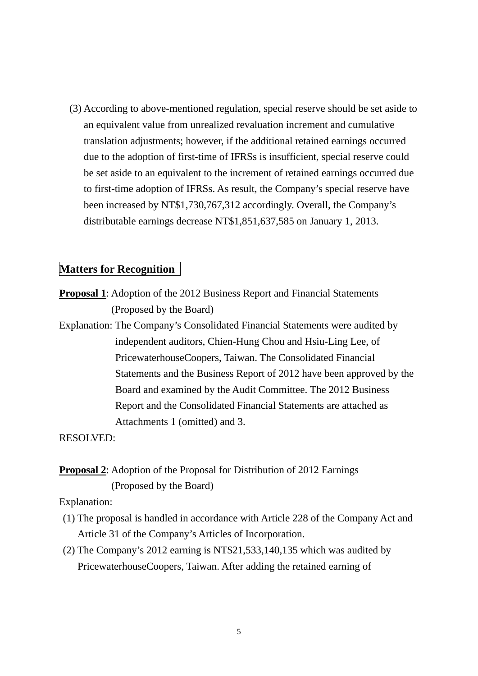(3) According to above-mentioned regulation, special reserve should be set aside to an equivalent value from unrealized revaluation increment and cumulative translation adjustments; however, if the additional retained earnings occurred due to the adoption of first-time of IFRSs is insufficient, special reserve could be set aside to an equivalent to the increment of retained earnings occurred due to first-time adoption of IFRSs. As result, the Company's special reserve have been increased by NT\$1,730,767,312 accordingly. Overall, the Company's distributable earnings decrease NT\$1,851,637,585 on January 1, 2013.

### **Matters for Recognition**

- **Proposal 1**: Adoption of the 2012 Business Report and Financial Statements (Proposed by the Board)
- Explanation: The Company's Consolidated Financial Statements were audited by independent auditors, Chien-Hung Chou and Hsiu-Ling Lee, of PricewaterhouseCoopers, Taiwan. The Consolidated Financial Statements and the Business Report of 2012 have been approved by the Board and examined by the Audit Committee. The 2012 Business Report and the Consolidated Financial Statements are attached as Attachments 1 (omitted) and 3.

RESOLVED:

# **Proposal 2:** Adoption of the Proposal for Distribution of 2012 Earnings (Proposed by the Board)

Explanation:

- (1) The proposal is handled in accordance with Article 228 of the Company Act and Article 31 of the Company's Articles of Incorporation.
- (2) The Company's 2012 earning is NT\$21,533,140,135 which was audited by PricewaterhouseCoopers, Taiwan. After adding the retained earning of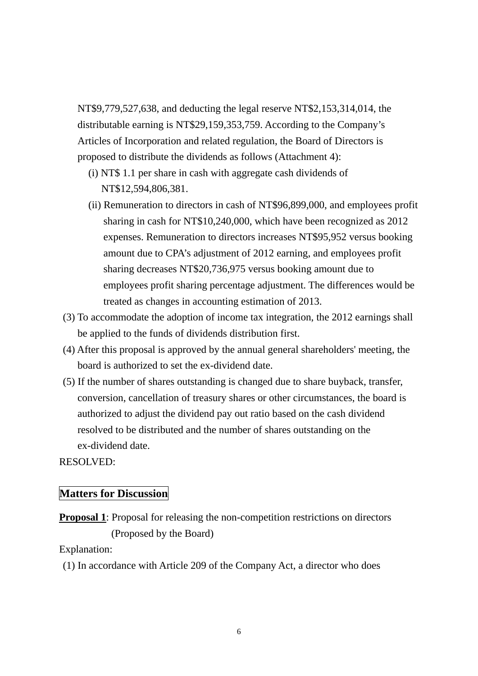NT\$9,779,527,638, and deducting the legal reserve NT\$2,153,314,014, the distributable earning is NT\$29,159,353,759. According to the Company's Articles of Incorporation and related regulation, the Board of Directors is proposed to distribute the dividends as follows (Attachment 4):

- (i) NT\$ 1.1 per share in cash with aggregate cash dividends of NT\$12,594,806,381.
- (ii) Remuneration to directors in cash of NT\$96,899,000, and employees profit sharing in cash for NT\$10,240,000, which have been recognized as 2012 expenses. Remuneration to directors increases NT\$95,952 versus booking amount due to CPA's adjustment of 2012 earning, and employees profit sharing decreases NT\$20,736,975 versus booking amount due to employees profit sharing percentage adjustment. The differences would be treated as changes in accounting estimation of 2013.
- (3) To accommodate the adoption of income tax integration, the 2012 earnings shall be applied to the funds of dividends distribution first.
- (4) After this proposal is approved by the annual general shareholders' meeting, the board is authorized to set the ex-dividend date.
- (5) If the number of shares outstanding is changed due to share buyback, transfer, conversion, cancellation of treasury shares or other circumstances, the board is authorized to adjust the dividend pay out ratio based on the cash dividend resolved to be distributed and the number of shares outstanding on the ex-dividend date.

## RESOLVED:

### **Matters for Discussion**

**Proposal 1**: Proposal for releasing the non-competition restrictions on directors (Proposed by the Board)

Explanation:

(1) In accordance with Article 209 of the Company Act, a director who does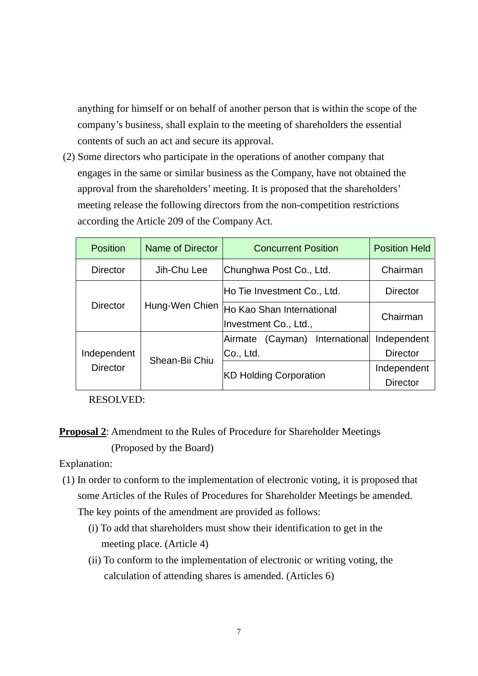anything for himself or on behalf of another person that is within the scope of the company's business, shall explain to the meeting of shareholders the essential contents of such an act and secure its approval.

(2) Some directors who participate in the operations of another company that engages in the same or similar business as the Company, have not obtained the approval from the shareholders' meeting. It is proposed that the shareholders' meeting release the following directors from the non-competition restrictions according the Article 209 of the Company Act.

| <b>Position</b> | Name of Director | <b>Concurrent Position</b>                         | <b>Position Held</b> |
|-----------------|------------------|----------------------------------------------------|----------------------|
| <b>Director</b> | Jih-Chu Lee      | Chunghwa Post Co., Ltd.                            | Chairman             |
|                 |                  | Ho Tie Investment Co., Ltd.                        | <b>Director</b>      |
| <b>Director</b> | Hung-Wen Chien   | Ho Kao Shan International<br>Investment Co., Ltd., | Chairman             |
|                 |                  | (Cayman) International<br>Airmate                  | Independent          |
| Independent     | Shean-Bii Chiu   | Co., Ltd.                                          | <b>Director</b>      |
| <b>Director</b> |                  |                                                    | Independent          |
|                 |                  | <b>KD Holding Corporation</b>                      | <b>Director</b>      |

RESOLVED:

# **Proposal 2**: Amendment to the Rules of Procedure for Shareholder Meetings (Proposed by the Board)

Explanation:

- (1) In order to conform to the implementation of electronic voting, it is proposed that some Articles of the Rules of Procedures for Shareholder Meetings be amended. The key points of the amendment are provided as follows:
	- (i) To add that shareholders must show their identification to get in the meeting place. (Article 4)
	- (ii) To conform to the implementation of electronic or writing voting, the calculation of attending shares is amended. (Articles 6)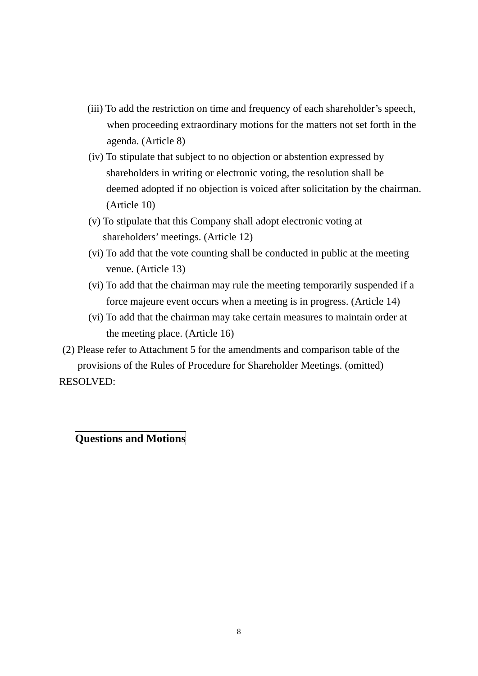- (iii) To add the restriction on time and frequency of each shareholder's speech, when proceeding extraordinary motions for the matters not set forth in the agenda. (Article 8)
- (iv) To stipulate that subject to no objection or abstention expressed by shareholders in writing or electronic voting, the resolution shall be deemed adopted if no objection is voiced after solicitation by the chairman. (Article 10)
- (v) To stipulate that this Company shall adopt electronic voting at shareholders' meetings. (Article 12)
- (vi) To add that the vote counting shall be conducted in public at the meeting venue. (Article 13)
- (vi) To add that the chairman may rule the meeting temporarily suspended if a force majeure event occurs when a meeting is in progress. (Article 14)
- (vi) To add that the chairman may take certain measures to maintain order at the meeting place. (Article 16)
- (2) Please refer to Attachment 5 for the amendments and comparison table of the provisions of the Rules of Procedure for Shareholder Meetings. (omitted) RESOLVED:

# **Questions and Motions**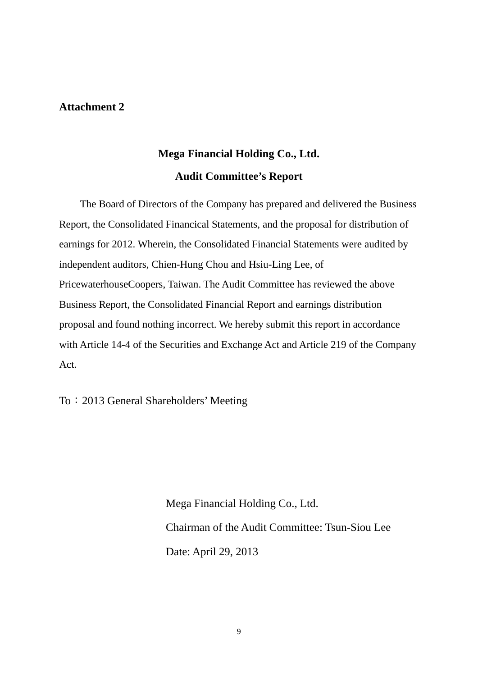### **Attachment 2**

# **Mega Financial Holding Co., Ltd. Audit Committee's Report**

The Board of Directors of the Company has prepared and delivered the Business Report, the Consolidated Financical Statements, and the proposal for distribution of earnings for 2012. Wherein, the Consolidated Financial Statements were audited by independent auditors, Chien-Hung Chou and Hsiu-Ling Lee, of PricewaterhouseCoopers, Taiwan. The Audit Committee has reviewed the above Business Report, the Consolidated Financial Report and earnings distribution proposal and found nothing incorrect. We hereby submit this report in accordance with Article 14-4 of the Securities and Exchange Act and Article 219 of the Company Act.

To:2013 General Shareholders' Meeting

Mega Financial Holding Co., Ltd. Chairman of the Audit Committee: Tsun-Siou Lee Date: April 29, 2013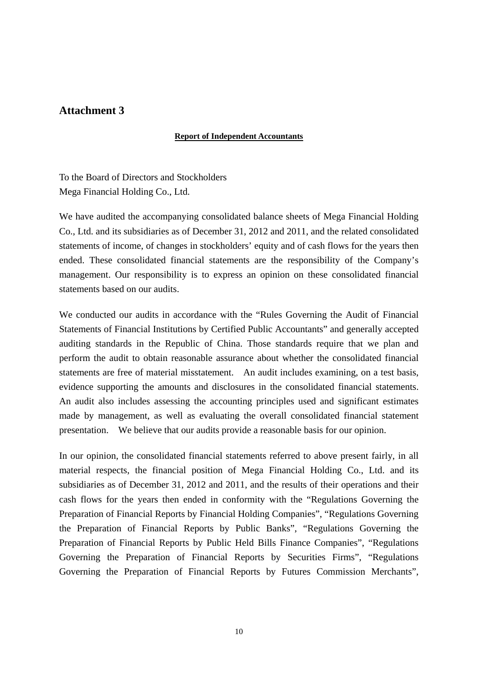### **Attachment 3**

### **Report of Independent Accountants**

To the Board of Directors and Stockholders Mega Financial Holding Co., Ltd.

We have audited the accompanying consolidated balance sheets of Mega Financial Holding Co., Ltd. and its subsidiaries as of December 31, 2012 and 2011, and the related consolidated statements of income, of changes in stockholders' equity and of cash flows for the years then ended. These consolidated financial statements are the responsibility of the Company's management. Our responsibility is to express an opinion on these consolidated financial statements based on our audits.

We conducted our audits in accordance with the "Rules Governing the Audit of Financial Statements of Financial Institutions by Certified Public Accountants" and generally accepted auditing standards in the Republic of China. Those standards require that we plan and perform the audit to obtain reasonable assurance about whether the consolidated financial statements are free of material misstatement. An audit includes examining, on a test basis, evidence supporting the amounts and disclosures in the consolidated financial statements. An audit also includes assessing the accounting principles used and significant estimates made by management, as well as evaluating the overall consolidated financial statement presentation. We believe that our audits provide a reasonable basis for our opinion.

In our opinion, the consolidated financial statements referred to above present fairly, in all material respects, the financial position of Mega Financial Holding Co., Ltd. and its subsidiaries as of December 31, 2012 and 2011, and the results of their operations and their cash flows for the years then ended in conformity with the "Regulations Governing the Preparation of Financial Reports by Financial Holding Companies", "Regulations Governing the Preparation of Financial Reports by Public Banks", "Regulations Governing the Preparation of Financial Reports by Public Held Bills Finance Companies", "Regulations Governing the Preparation of Financial Reports by Securities Firms", "Regulations Governing the Preparation of Financial Reports by Futures Commission Merchants",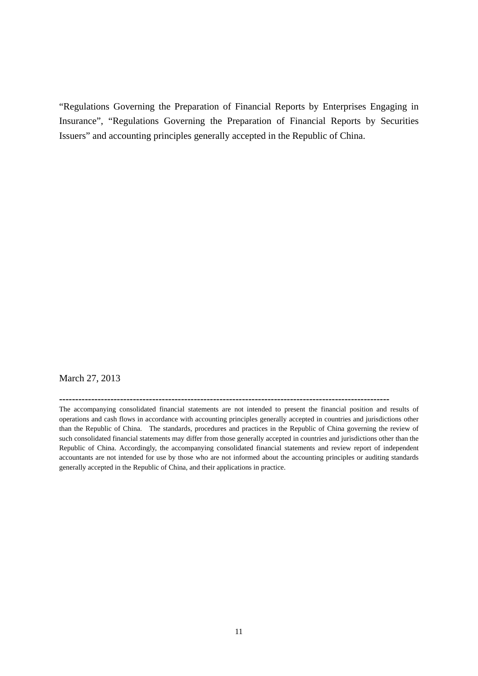"Regulations Governing the Preparation of Financial Reports by Enterprises Engaging in Insurance", "Regulations Governing the Preparation of Financial Reports by Securities Issuers" and accounting principles generally accepted in the Republic of China.

### March 27, 2013

**-------------------------------------------------------------------------------------------------------**

The accompanying consolidated financial statements are not intended to present the financial position and results of operations and cash flows in accordance with accounting principles generally accepted in countries and jurisdictions other than the Republic of China. The standards, procedures and practices in the Republic of China governing the review of such consolidated financial statements may differ from those generally accepted in countries and jurisdictions other than the Republic of China. Accordingly, the accompanying consolidated financial statements and review report of independent accountants are not intended for use by those who are not informed about the accounting principles or auditing standards generally accepted in the Republic of China, and their applications in practice.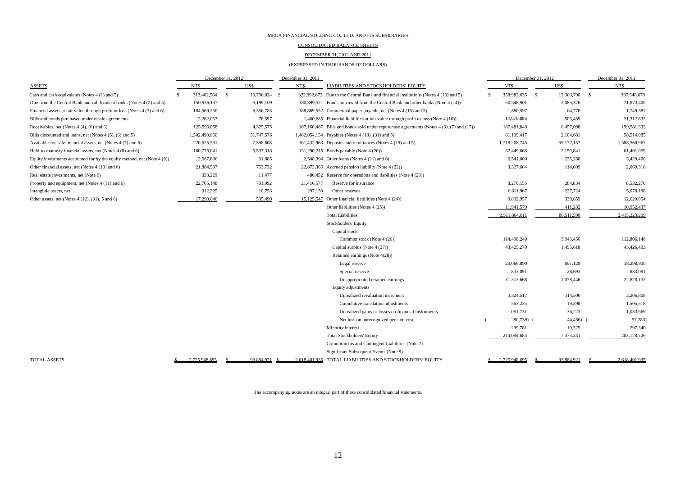#### CONSOLIDATED BALANCE SHEETS

#### DECEMBER 31, 2012 AND 2011

#### (EXPRESSED IN THOUSANDS OF DOLLARS)

|                                                                           |  | December 31, 2012 |               |               | December 31, 2011 |            |                                                                                          |          | December 31, 2012 |                   | December 31, 2011 |               |  |
|---------------------------------------------------------------------------|--|-------------------|---------------|---------------|-------------------|------------|------------------------------------------------------------------------------------------|----------|-------------------|-------------------|-------------------|---------------|--|
| <b>ASSETS</b>                                                             |  | NT\$              |               | US\$          |                   | NT\$       | LIABILITIES AND STOCKHOLDERS' EQUITY                                                     |          | <b>NTS</b>        | US\$              |                   | NT\$          |  |
| Cash and cash equivalents (Notes 4 (1) and 5)                             |  | 313,462,564       | <sup>\$</sup> | 10,796,024 \$ |                   |            | 322,992,872 Due to the Central Bank and financial institutions (Notes 4 (13) and 5)      | <b>S</b> | 358,982,635       | 12,363,790<br>- S | $\mathbf{s}$      | 367,548,678   |  |
| Due from the Central Bank and call loans to banks (Notes 4 (2) and 5)     |  | 150,956,137       |               | 5,199,109     |                   |            | 180,399,521 Funds borrowed from the Central Bank and other banks (Note 4 (14))           |          | 60,548,901        | 2,085,376         |                   | 71,873,400    |  |
| Financial assets at fair value through profit or loss (Notes 4 (3) and 6) |  | 184,569,250       |               | 6,356,785     |                   |            | 188,869,552 Commercial paper payable, net (Notes 4 (15) and 5)                           |          | 1,880,597         | 64,770            |                   | 1,749,387     |  |
| Bills and bonds purchased under resale agreements                         |  | 2,282,053         |               | 78,597        |                   |            | 1,460,685 Financial liabilities at fair value through profit or loss (Note 4 (16))       |          | 14,676,886        | 505,489           |                   | 21,312,632    |  |
| Receivables, net (Notes $4(4)$ , $(6)$ and $6)$                           |  | 125,593,058       |               | 4,325,575     |                   |            | 107,160,487 Bills and bonds sold under repurchase agreements (Notes 4 (3), (7) and (17)) |          | 187,481,840       | 6,457,098         |                   | 199,581,332   |  |
| Bills discounted and loans, net (Notes 4 (5), (6) and 5)                  |  | 1,502,490,860     |               | 51,747,576    |                   |            | 1,462,054,154 Payables (Notes 4 (18), (31) and 5)                                        |          | 61,109,417        | 2,104,681         |                   | 58,514,085    |  |
| Available-for-sale financial assets, net (Notes 4 (7) and 6)              |  | 220,625,591       |               | 7,598,608     |                   |            | 161,432,963 Deposits and remittances (Notes 4 (19) and 5)                                |          | 1,718,208,745     | 59,177,157        |                   | 1,588,560,967 |  |
| Held-to-maturity financial assets, net (Notes 4 (8) and 6)                |  | 160,776,041       |               | 5,537,318     |                   |            | 131,290,215 Bonds payable (Note 4 (20))                                                  |          | 62,449,668        | 2,150,841         |                   | 61,401,059    |  |
| Equity investments accounted for by the equity method, net (Note $4(9)$ ) |  | 2,667,896         |               | 91,885        |                   |            | 2,548,394 Other loans (Notes 4 (21) and 6)                                               |          | 6,541,000         | 225,280           |                   | 5,429,400     |  |
| Other financial assets, net (Notes 4 (10) and 6)                          |  | 21,884,597        |               | 753,732       |                   |            | 22,873,366 Accrued pension liability (Note 4 (22))                                       |          | 3,327,664         | 114,609           |                   | 2,069,310     |  |
| Real estate investments, net (Note 6)                                     |  | 333,229           |               | 11,477        |                   |            | 480,452 Reserve for operations and liabilities (Note 4 (23))                             |          |                   |                   |                   |               |  |
| Property and equipment, net (Notes 4 (11) and 6)                          |  | 22,705,148        |               | 781,992       |                   | 21,416,577 | Reserve for insurance                                                                    |          | 8,270,155         | 284,834           |                   | 8,532,270     |  |
| Intangible assets, net                                                    |  | 312,225           |               | 10,753        |                   | 297,150    | Other reserves                                                                           |          | 6,611,967         | 227,724           |                   | 5,078,198     |  |
| Other assets, net (Notes $4(12)$ , $(31)$ , 5 and 6)                      |  | 17,290,046        |               | 595,490       |                   | 15,125,547 | Other financial liabilities (Note 4 (24))                                                |          | 9,832,957         | 338,659           |                   | 12,620,054    |  |
|                                                                           |  |                   |               |               |                   |            | Other liabilities (Notes 4 (25))                                                         |          | 11,941,579        | 411,282           |                   | 10,952,437    |  |
|                                                                           |  |                   |               |               |                   |            | <b>Total Liabilities</b>                                                                 |          | 2,511,864,011     | 86,511,590        |                   | 2,415,223,209 |  |
|                                                                           |  |                   |               |               |                   |            | Stockholders' Equity                                                                     |          |                   |                   |                   |               |  |
|                                                                           |  |                   |               |               |                   |            | Capital stock                                                                            |          |                   |                   |                   |               |  |
|                                                                           |  |                   |               |               |                   |            | Common stock (Note 4 (26))                                                               |          | 114,498,240       | 3,943,456         |                   | 112,806,148   |  |
|                                                                           |  |                   |               |               |                   |            | Capital surplus (Note 4 (27))                                                            |          | 43,425,270        | 1,495,618         |                   | 43,426,403    |  |
|                                                                           |  |                   |               |               |                   |            | Retained earnings (Note 4(28))                                                           |          |                   |                   |                   |               |  |
|                                                                           |  |                   |               |               |                   |            | Legal reserve                                                                            |          | 20,066,890        | 691,128           |                   | 18,298,900    |  |
|                                                                           |  |                   |               |               |                   |            | Special reserve                                                                          |          | 833,091           | 28,693            |                   | 833,091       |  |
|                                                                           |  |                   |               |               |                   |            | Unappropriated retained earnings                                                         |          | 31,312,668        | 1,078,446         |                   | 22,828,132    |  |
|                                                                           |  |                   |               |               |                   |            | Equity adjustments                                                                       |          |                   |                   |                   |               |  |
|                                                                           |  |                   |               |               |                   |            | Unrealized revaluation increment                                                         |          | 3,324,517         | 114,500           |                   | 2,206,808     |  |
|                                                                           |  |                   |               |               |                   |            | Cumulative translation adjustments                                                       |          | 563,235           | 19,398            |                   | 1,505,518     |  |
|                                                                           |  |                   |               |               |                   |            | Unrealized gains or losses on financial instruments                                      |          | 1,051,731         | 36,223            |                   | 1,033,669     |  |
|                                                                           |  |                   |               |               |                   |            | Net loss on unrecognized pension cost                                                    |          | 1,290,739)        | 44,456)           |                   | 57,283)       |  |
|                                                                           |  |                   |               |               |                   |            | Minority interest                                                                        |          | 299,781           | 10,325            |                   | 297,340       |  |
|                                                                           |  |                   |               |               |                   |            | <b>Total Stockholders' Equity</b>                                                        |          | 214,084,684       | 7,373,331         |                   | 203,178,726   |  |
|                                                                           |  |                   |               |               |                   |            | Commitments and Contingent Liabilities (Note 7)                                          |          |                   |                   |                   |               |  |
|                                                                           |  |                   |               |               |                   |            | Significant Subsequent Events (Note 9)                                                   |          |                   |                   |                   |               |  |
| <b>TOTAL ASSETS</b>                                                       |  | 2.725.948.695     |               | 93.884.921    |                   |            | 2.618.401.935 TOTAL LIABILITIES AND STOCKHOLDERS' EQUITY                                 |          | 2.725.948.695     | 93.884.921        |                   | 2.618.401.935 |  |

The accompanying notes are an integral part of these consolidated financial statements.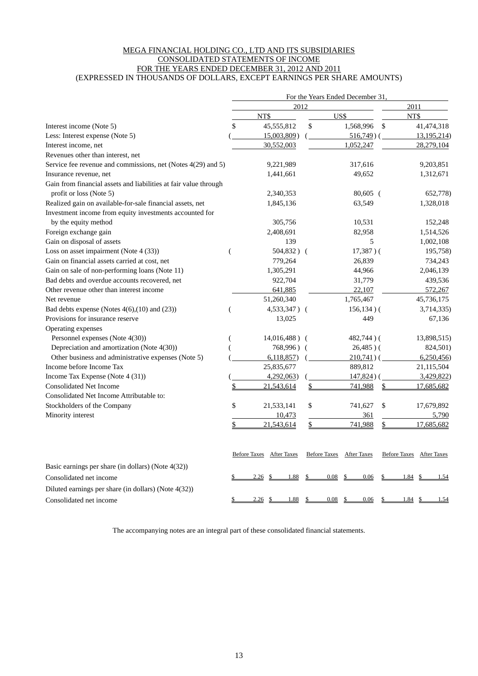### MEGA FINANCIAL HOLDING CO., LTD AND ITS SUBSIDIARIES CONSOLIDATED STATEMENTS OF INCOME FOR THE YEARS ENDED DECEMBER 31, 2012 AND 2011 (EXPRESSED IN THOUSANDS OF DOLLARS, EXCEPT EARNINGS PER SHARE AMOUNTS)

|                                                                  | For the Years Ended December 31, |                                 |      |                          |      |         |                          |  |  |  |  |
|------------------------------------------------------------------|----------------------------------|---------------------------------|------|--------------------------|------|---------|--------------------------|--|--|--|--|
|                                                                  |                                  |                                 | 2012 |                          | 2011 |         |                          |  |  |  |  |
|                                                                  |                                  | NT\$                            |      | US\$                     |      | NT\$    |                          |  |  |  |  |
| Interest income (Note 5)                                         | \$                               | 45,555,812                      | \$   | 1,568,996                | \$   |         | 41,474,318               |  |  |  |  |
| Less: Interest expense (Note 5)                                  |                                  | 15,003,809)                     |      | $516,749$ ) (            |      |         | 13,195,214)              |  |  |  |  |
| Interest income, net                                             |                                  | 30,552,003                      |      | 1,052,247                |      |         | 28,279,104               |  |  |  |  |
| Revenues other than interest, net                                |                                  |                                 |      |                          |      |         |                          |  |  |  |  |
| Service fee revenue and commissions, net (Notes 4(29) and 5)     |                                  | 9,221,989                       |      | 317,616                  |      |         | 9,203,851                |  |  |  |  |
| Insurance revenue, net                                           |                                  | 1,441,661                       |      | 49,652                   |      |         | 1,312,671                |  |  |  |  |
| Gain from financial assets and liabilities at fair value through |                                  |                                 |      |                          |      |         |                          |  |  |  |  |
| profit or loss (Note 5)                                          |                                  | 2,340,353                       |      | $80,605$ (               |      |         | 652,778)                 |  |  |  |  |
| Realized gain on available-for-sale financial assets, net        |                                  | 1,845,136                       |      | 63,549                   |      |         | 1,328,018                |  |  |  |  |
| Investment income from equity investments accounted for          |                                  |                                 |      |                          |      |         |                          |  |  |  |  |
| by the equity method                                             |                                  | 305,756                         |      | 10,531                   |      |         | 152,248                  |  |  |  |  |
| Foreign exchange gain                                            |                                  | 2,408,691                       |      | 82,958                   |      |         | 1,514,526                |  |  |  |  |
| Gain on disposal of assets                                       |                                  | 139                             |      | 5                        |      |         | 1,002,108                |  |  |  |  |
| Loss on asset impairment (Note 4 (33))                           | $\overline{(}$                   | $504,832$ ) (                   |      | $17,387$ )(              |      |         | 195,758)                 |  |  |  |  |
| Gain on financial assets carried at cost, net                    |                                  | 779,264                         |      | 26,839                   |      |         | 734,243                  |  |  |  |  |
| Gain on sale of non-performing loans (Note 11)                   |                                  | 1,305,291                       |      | 44,966                   |      |         | 2,046,139                |  |  |  |  |
| Bad debts and overdue accounts recovered, net                    |                                  | 922,704                         |      | 31,779                   |      |         | 439,536                  |  |  |  |  |
| Other revenue other than interest income                         |                                  | 641,885                         |      | 22,107                   |      |         | 572,267                  |  |  |  |  |
| Net revenue                                                      |                                  | 51,260,340                      |      | 1,765,467                |      |         | 45,736,175               |  |  |  |  |
| Bad debts expense (Notes $4(6)$ , $(10)$ and $(23)$ )            |                                  | 4,533,347) (                    |      | $156, 134$ ) (           |      |         | 3,714,335)               |  |  |  |  |
| Provisions for insurance reserve                                 |                                  | 13,025                          |      | 449                      |      |         | 67,136                   |  |  |  |  |
| Operating expenses                                               |                                  |                                 |      |                          |      |         |                          |  |  |  |  |
| Personnel expenses (Note 4(30))                                  |                                  | $14,016,488$ ) (                |      | 482,744)(                |      |         | 13,898,515)              |  |  |  |  |
| Depreciation and amortization (Note 4(30))                       |                                  | 768,996) (                      |      | $26,485$ )(              |      |         | 824,501)                 |  |  |  |  |
| Other business and administrative expenses (Note 5)              |                                  | 6,118,857                       |      | $210,741$ ) (            |      |         | 6,250,456                |  |  |  |  |
| Income before Income Tax                                         |                                  | 25,835,677                      |      | 889,812                  |      |         | 21,115,504               |  |  |  |  |
| Income Tax Expense (Note 4 (31))                                 |                                  | 4,292,063                       |      | $147,824$ ) (            |      |         | 3,429,822)               |  |  |  |  |
| <b>Consolidated Net Income</b>                                   | \$                               | 21,543,614                      | \$   | 741,988                  | \$   |         | 17,685,682               |  |  |  |  |
| Consolidated Net Income Attributable to:                         |                                  |                                 |      |                          |      |         |                          |  |  |  |  |
| Stockholders of the Company                                      | \$                               | 21,533,141                      | \$   | 741,627                  | \$   |         | 17,679,892               |  |  |  |  |
| Minority interest                                                |                                  | 10,473                          |      | 361                      |      |         | 5,790                    |  |  |  |  |
|                                                                  | \$                               | 21,543,614                      | \$   | 741,988                  | \$   |         | 17,685,682               |  |  |  |  |
|                                                                  |                                  | <b>Before Taxes</b> After Taxes |      | Before Taxes After Taxes |      |         | Before Taxes After Taxes |  |  |  |  |
| Basic earnings per share (in dollars) (Note 4(32))               |                                  |                                 |      |                          |      |         |                          |  |  |  |  |
| Consolidated net income                                          |                                  | 2.26<br>1.88                    |      | 0.08<br>0.06             |      | 1.84    | 1.54                     |  |  |  |  |
| Diluted earnings per share (in dollars) (Note 4(32))             |                                  |                                 |      |                          |      |         |                          |  |  |  |  |
| Consolidated net income                                          | \$                               | 2.26<br>1.88<br>- \$            |      | 0.08<br>0.06<br>S        |      | 1.84 \$ | 1.54                     |  |  |  |  |

The accompanying notes are an integral part of these consolidated financial statements.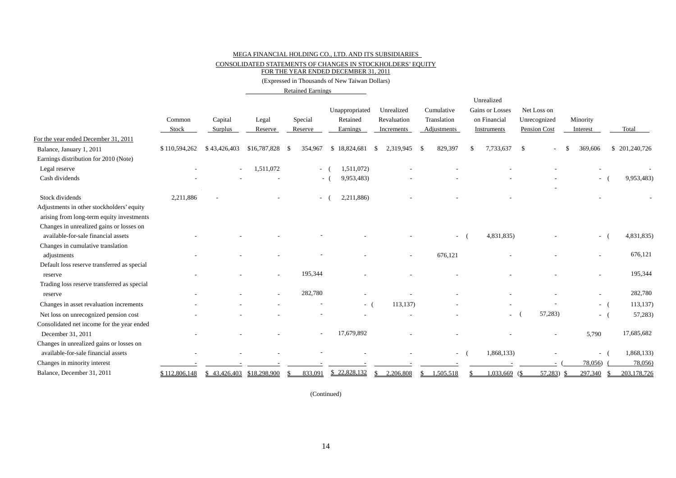CONSOLIDATED STATEMENTS OF CHANGES IN STOCKHOLDERS' EQUITY

FOR THE YEAR ENDED DECEMBER 31, 2011

(Expressed in Thousands of New Taiwan Dollars)

Retained Earnings

|                                                                                        | Common<br>Stock | Capital<br>Surplus         | Legal<br>Reserve | Special<br>Reserve | Unappropriated<br>Retained<br>Earnings | Unrealized<br>Revaluation<br>Increments | Cumulative<br>Translation<br>Adjustments |           | Unrealized<br>Gains or Losses<br>on Financial<br>Instruments | Net Loss on<br>Unrecognized<br>Pension Cost | Minority<br>Interest     | Total         |
|----------------------------------------------------------------------------------------|-----------------|----------------------------|------------------|--------------------|----------------------------------------|-----------------------------------------|------------------------------------------|-----------|--------------------------------------------------------------|---------------------------------------------|--------------------------|---------------|
| For the year ended December 31, 2011                                                   |                 |                            |                  |                    |                                        |                                         |                                          |           |                                                              |                                             |                          |               |
| Balance, January 1, 2011                                                               | \$110,594,262   | \$43,426,403               | \$16,787,828     | 354,967<br>-8      | \$18,824,681                           | 2,319,945<br>-S                         | - \$                                     | 829,397   | 7,733,637<br>£.                                              | $\mathbb{S}$                                | 369,606                  | \$201,240,726 |
| Earnings distribution for 2010 (Note)                                                  |                 |                            |                  |                    |                                        |                                         |                                          |           |                                                              |                                             |                          |               |
| Legal reserve                                                                          |                 |                            | 1,511,072        |                    | 1,511,072)<br>$-$ (                    |                                         |                                          |           |                                                              |                                             |                          |               |
| Cash dividends                                                                         |                 |                            |                  |                    | 9,953,483)<br>$\sim$ $-$               |                                         |                                          |           |                                                              |                                             | $\sim 100$               | 9,953,483)    |
| Stock dividends                                                                        | 2,211,886       |                            |                  | $\sim$             | 2,211,886)                             |                                         |                                          |           |                                                              |                                             |                          |               |
| Adjustments in other stockholders' equity<br>arising from long-term equity investments |                 |                            |                  |                    |                                        |                                         |                                          |           |                                                              |                                             |                          |               |
| Changes in unrealized gains or losses on<br>available-for-sale financial assets        |                 |                            |                  |                    |                                        |                                         |                                          |           | 4,831,835)                                                   |                                             | $\overline{\phantom{a}}$ | 4,831,835)    |
| Changes in cumulative translation                                                      |                 |                            |                  |                    |                                        |                                         |                                          |           |                                                              |                                             |                          | 676,121       |
| adjustments                                                                            |                 |                            |                  |                    |                                        |                                         |                                          | 676,121   |                                                              |                                             |                          |               |
| Default loss reserve transferred as special                                            |                 |                            |                  | 195,344            |                                        |                                         |                                          |           |                                                              |                                             |                          | 195,344       |
| reserve                                                                                |                 |                            |                  |                    |                                        |                                         |                                          |           |                                                              |                                             |                          |               |
| Trading loss reserve transferred as special                                            |                 |                            |                  | 282,780            |                                        |                                         |                                          |           |                                                              |                                             |                          | 282,780       |
| reserve                                                                                |                 |                            |                  |                    |                                        |                                         |                                          |           |                                                              |                                             | ٠                        |               |
| Changes in asset revaluation increments                                                |                 |                            |                  |                    | - (                                    | 113,137)                                |                                          |           |                                                              |                                             | $-$ (                    | 113,137)      |
| Net loss on unrecognized pension cost                                                  |                 |                            |                  |                    |                                        |                                         |                                          |           | $\overline{\phantom{a}}$                                     | 57,283)                                     | $ ($                     | 57,283)       |
| Consolidated net income for the year ended                                             |                 |                            |                  |                    |                                        |                                         |                                          |           |                                                              |                                             |                          |               |
| December 31, 2011                                                                      |                 |                            |                  |                    | 17,679,892                             |                                         |                                          |           |                                                              |                                             | 5,790                    | 17,685,682    |
| Changes in unrealized gains or losses on                                               |                 |                            |                  |                    |                                        |                                         |                                          |           |                                                              |                                             |                          |               |
| available-for-sale financial assets                                                    |                 |                            |                  |                    |                                        |                                         |                                          | $\sim$    | 1,868,133)                                                   |                                             | $\sim$                   | 1,868,133)    |
| Changes in minority interest                                                           |                 |                            |                  |                    |                                        |                                         |                                          |           |                                                              |                                             | 78,056)                  | 78,056)       |
| Balance, December 31, 2011                                                             | \$112,806,148   | $$43,426,403$ \$18,298,900 |                  | 833,091            | \$22,828,132                           | 2,206,808<br>\$                         | S.                                       | 1,505,518 | 1,033,669                                                    | 57,283<br>(\$                               | 297,340                  | 203,178,726   |

(Continued)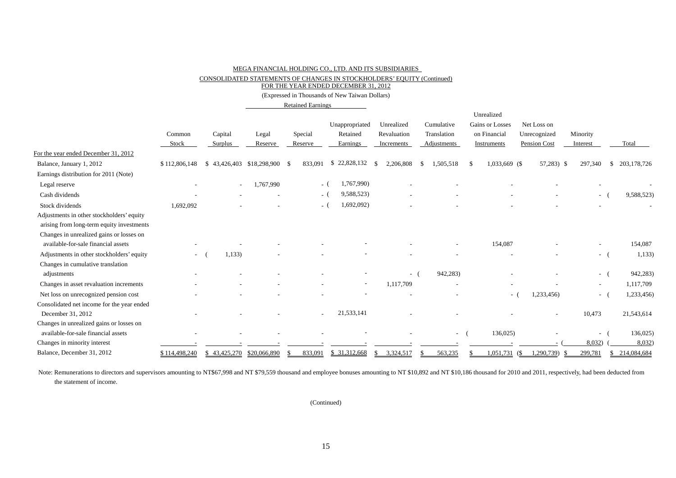CONSOLIDATED STATEMENTS OF CHANGES IN STOCKHOLDERS' EQUITY (Continued)

FOR THE YEAR ENDED DECEMBER 31, 2012

(Expressed in Thousands of New Taiwan Dollars)

Retained Earnings

|                                            |                          |              |                 |         |                             |                  |                 | Unrealized             |                     |               |             |
|--------------------------------------------|--------------------------|--------------|-----------------|---------|-----------------------------|------------------|-----------------|------------------------|---------------------|---------------|-------------|
|                                            |                          |              |                 |         | Unappropriated              | Unrealized       | Cumulative      | <b>Gains or Losses</b> | Net Loss on         |               |             |
|                                            | Common                   | Capital      | Legal           | Special | Retained                    | Revaluation      | Translation     | on Financial           | Unrecognized        | Minority      |             |
|                                            | Stock                    | Surplus      | Reserve         | Reserve | Earnings                    | Increments       | Adjustments     | Instruments            | <b>Pension Cost</b> | Interest      | Total       |
| For the year ended December 31, 2012       |                          |              |                 |         |                             |                  |                 |                        |                     |               |             |
| Balance, January 1, 2012                   | \$112,806,148            | \$43,426,403 | \$18,298,900 \$ | 833.091 | 22,828,132<br><sup>\$</sup> | 2,206,808<br>-S  | 1,505,518<br>-S | 1,033,669 (\$<br>-S    | $57,283$ ) \$       | 297,340<br>-S | 203,178,726 |
| Earnings distribution for 2011 (Note)      |                          |              |                 |         |                             |                  |                 |                        |                     |               |             |
| Legal reserve                              |                          | $\sim$       | 1,767,990       |         | 1,767,990)<br>$-$ (         |                  |                 |                        |                     |               |             |
| Cash dividends                             |                          |              |                 |         | 9,588,523)<br>- (           |                  |                 |                        |                     | $\sim$        | 9,588,523)  |
| Stock dividends                            | 1,692,092                |              |                 |         | 1,692,092)<br>- (           |                  |                 |                        |                     |               |             |
| Adjustments in other stockholders' equity  |                          |              |                 |         |                             |                  |                 |                        |                     |               |             |
| arising from long-term equity investments  |                          |              |                 |         |                             |                  |                 |                        |                     |               |             |
| Changes in unrealized gains or losses on   |                          |              |                 |         |                             |                  |                 |                        |                     |               |             |
| available-for-sale financial assets        |                          |              |                 |         |                             |                  |                 | 154,087                |                     |               | 154,087     |
| Adjustments in other stockholders' equity  | $\overline{\phantom{a}}$ | 1,133        |                 |         |                             |                  |                 |                        |                     | $\sim$        | 1,133)      |
| Changes in cumulative translation          |                          |              |                 |         |                             |                  |                 |                        |                     |               |             |
| adjustments                                |                          |              |                 |         |                             | $\sim$           | 942,283)        |                        |                     | $\sim$        | 942,283)    |
| Changes in asset revaluation increments    |                          |              |                 |         | $\overline{\phantom{a}}$    | 1,117,709        |                 |                        |                     | $\sim$        | 1,117,709   |
| Net loss on unrecognized pension cost      |                          |              |                 |         |                             |                  |                 | $\sim$                 | ,233,456)           | $\sim$        | 1,233,456)  |
| Consolidated net income for the year ended |                          |              |                 |         |                             |                  |                 |                        |                     |               |             |
| December 31, 2012                          |                          |              |                 |         | 21,533,141                  |                  |                 |                        |                     | 10,473        | 21,543,614  |
| Changes in unrealized gains or losses on   |                          |              |                 |         |                             |                  |                 |                        |                     |               |             |
| available-for-sale financial assets        |                          |              |                 |         |                             |                  |                 | 136,025)<br>$\sim$     |                     | $\sim$        | 136,025)    |
| Changes in minority interest               |                          |              |                 |         |                             |                  |                 |                        |                     | 8,032)        | 8,032       |
| Balance, December 31, 2012                 | \$114,498,240            | \$43.425.270 | \$20,066,890    | 833.091 | \$31,312,668                | 3.324.517<br>\$. | 563,235         | $1.051.731$ (\$        | 1.290.739)<br>-SS   | 299.781<br>S. | 214,084,684 |

Note: Remunerations to directors and supervisors amounting to NT\$67,998 and NT \$79,559 thousand and employee bonuses amounting to NT \$10,892 and NT \$10,186 thousand for 2010 and 2011, respectively, had been deducted from the statement of income.

(Continued)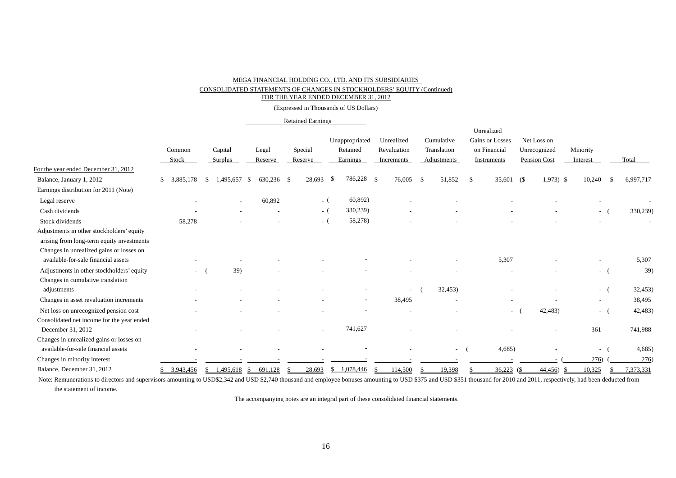### CONSOLIDATED STATEMENTS OF CHANGES IN STOCKHOLDERS' EQUITY (Continued)

FOR THE YEAR ENDED DECEMBER 31, 2012

(Expressed in Thousands of US Dollars)

#### Retained Earnings

|                                            |                          |                       |               |         |                   |               |     |             | Unrealized      |            |              |                          |                   |
|--------------------------------------------|--------------------------|-----------------------|---------------|---------|-------------------|---------------|-----|-------------|-----------------|------------|--------------|--------------------------|-------------------|
|                                            |                          |                       |               |         | Unappropriated    | Unrealized    |     | Cumulative  | Gains or Losses |            | Net Loss on  |                          |                   |
|                                            | Common                   | Capital               | Legal         | Special | Retained          | Revaluation   |     | Translation | on Financial    |            | Unrecognized | Minority                 |                   |
|                                            | Stock                    | Surplus               | Reserve       | Reserve | Earnings          | Increments    |     | Adjustments | Instruments     |            | Pension Cost | Interest                 | Total             |
| For the year ended December 31, 2012       |                          |                       |               |         |                   |               |     |             |                 |            |              |                          |                   |
| Balance, January 1, 2012                   | 3,885,178<br>S.          | .495,657<br>-S<br>- S | 630,236 \$    | 28,693  | 786,228           | -\$<br>76,005 | -\$ | 51,852      | S.              | 35,601 (\$ | $1,973$ \$   | 10,240                   | 6,997,717<br>- \$ |
| Earnings distribution for 2011 (Note)      |                          |                       |               |         |                   |               |     |             |                 |            |              |                          |                   |
| Legal reserve                              |                          |                       | 60,892        |         | 60,892)<br>$-$ (  |               |     |             |                 |            |              |                          |                   |
| Cash dividends                             |                          |                       |               |         | 330,239)<br>$-$ ( |               |     |             |                 |            |              | $ ($                     | 330,239)          |
| Stock dividends                            | 58,278                   |                       |               |         | 58,278)<br>$-$ (  |               |     |             |                 |            |              |                          |                   |
| Adjustments in other stockholders' equity  |                          |                       |               |         |                   |               |     |             |                 |            |              |                          |                   |
| arising from long-term equity investments  |                          |                       |               |         |                   |               |     |             |                 |            |              |                          |                   |
| Changes in unrealized gains or losses on   |                          |                       |               |         |                   |               |     |             |                 |            |              |                          |                   |
| available-for-sale financial assets        |                          |                       |               |         |                   |               |     |             | 5,307           |            |              |                          | 5,307             |
| Adjustments in other stockholders' equity  | $\overline{\phantom{a}}$ | 39)                   |               |         |                   |               |     |             |                 |            |              | $ -$                     | 39)               |
| Changes in cumulative translation          |                          |                       |               |         |                   |               |     |             |                 |            |              |                          |                   |
| adjustments                                |                          |                       |               |         |                   |               |     | 32,453      |                 |            |              | - (                      | 32,453)           |
| Changes in asset revaluation increments    |                          |                       |               |         |                   | 38,495        |     |             |                 |            |              | $\overline{\phantom{a}}$ | 38,495            |
| Net loss on unrecognized pension cost      |                          |                       |               |         |                   |               |     |             |                 | $\sim$     | 42,483)      | $ -$                     | 42,483)           |
| Consolidated net income for the year ended |                          |                       |               |         |                   |               |     |             |                 |            |              |                          |                   |
| December 31, 2012                          |                          |                       |               |         | 741,627           |               |     |             |                 |            |              | 361                      | 741,988           |
| Changes in unrealized gains or losses on   |                          |                       |               |         |                   |               |     |             |                 |            |              |                          |                   |
| available-for-sale financial assets        |                          |                       |               |         |                   |               |     | $\sim$      | 4,685           |            |              | $\sim$                   | 4,685             |
| Changes in minority interest               |                          |                       |               |         |                   |               |     |             |                 |            |              | 276)                     | 276)              |
| Balance, December 31, 2012                 | 3,943,456                | \$1,495,618           | 691,128<br>-S | 28,693  | 1,078,446<br>\$   | 114,500       |     | 19,398      | 36,223          | (\$        | 44,456<br>-S | 10,325                   | 7,373,331         |

Note: Remunerations to directors and supervisors amounting to USD\$2,342 and USD \$2,740 thousand and employee bonuses amounting to USD \$375 and USD \$351 thousand for 2010 and 2011, respectively, had been deducted from the statement of income.

The accompanying notes are an integral part of these consolidated financial statements.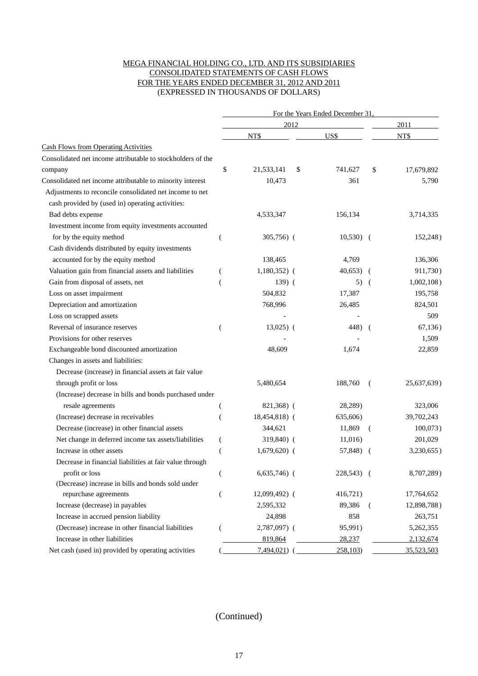### MEGA FINANCIAL HOLDING CO., LTD. AND ITS SUBSIDIARIES CONSOLIDATED STATEMENTS OF CASH FLOWS FOR THE YEARS ENDED DECEMBER 31, 2012 AND 2011 (EXPRESSED IN THOUSANDS OF DOLLARS)

|                                                             | For the Years Ended December 31. |                 |      |            |                |               |  |  |  |  |  |
|-------------------------------------------------------------|----------------------------------|-----------------|------|------------|----------------|---------------|--|--|--|--|--|
|                                                             |                                  |                 | 2012 |            |                | 2011          |  |  |  |  |  |
|                                                             |                                  | NT\$            |      | US\$       |                | NT\$          |  |  |  |  |  |
| <b>Cash Flows from Operating Activities</b>                 |                                  |                 |      |            |                |               |  |  |  |  |  |
| Consolidated net income attributable to stockholders of the |                                  |                 |      |            |                |               |  |  |  |  |  |
| company                                                     | \$                               | 21,533,141      | \$   | 741,627    | \$             | 17,679,892    |  |  |  |  |  |
| Consolidated net income attributable to minority interest   |                                  | 10,473          |      | 361        |                | 5,790         |  |  |  |  |  |
| Adjustments to reconcile consolidated net income to net     |                                  |                 |      |            |                |               |  |  |  |  |  |
| cash provided by (used in) operating activities:            |                                  |                 |      |            |                |               |  |  |  |  |  |
| Bad debts expense                                           |                                  | 4,533,347       |      | 156,134    |                | 3,714,335     |  |  |  |  |  |
| Investment income from equity investments accounted         |                                  |                 |      |            |                |               |  |  |  |  |  |
| for by the equity method                                    | (                                | $305,756$ (     |      | $10,530$ ( |                | 152,248)      |  |  |  |  |  |
| Cash dividends distributed by equity investments            |                                  |                 |      |            |                |               |  |  |  |  |  |
| accounted for by the equity method                          |                                  | 138,465         |      | 4,769      |                | 136,306       |  |  |  |  |  |
| Valuation gain from financial assets and liabilities        |                                  | $1,180,352$ (   |      | 40,653)    |                | 911,730)      |  |  |  |  |  |
| Gain from disposal of assets, net                           |                                  | $139)$ (        |      | 5)         | $\sqrt{2}$     | $1,002,108$ ) |  |  |  |  |  |
| Loss on asset impairment                                    |                                  | 504,832         |      | 17,387     |                | 195,758       |  |  |  |  |  |
| Depreciation and amortization                               |                                  | 768,996         |      | 26,485     |                | 824,501       |  |  |  |  |  |
| Loss on scrapped assets                                     |                                  |                 |      |            |                | 509           |  |  |  |  |  |
| Reversal of insurance reserves                              |                                  | $13,025$ (      |      | 448) (     |                | 67,136)       |  |  |  |  |  |
| Provisions for other reserves                               |                                  |                 |      |            |                | 1,509         |  |  |  |  |  |
| Exchangeable bond discounted amortization                   |                                  | 48,609          |      | 1,674      |                | 22,859        |  |  |  |  |  |
| Changes in assets and liabilities:                          |                                  |                 |      |            |                |               |  |  |  |  |  |
| Decrease (increase) in financial assets at fair value       |                                  |                 |      |            |                |               |  |  |  |  |  |
| through profit or loss                                      |                                  | 5,480,654       |      | 188,760    | $\left($       | 25,637,639)   |  |  |  |  |  |
| (Increase) decrease in bills and bonds purchased under      |                                  |                 |      |            |                |               |  |  |  |  |  |
| resale agreements                                           |                                  | 821,368) (      |      | 28,289)    |                | 323,006       |  |  |  |  |  |
| (Increase) decrease in receivables                          |                                  | 18,454,818) (   |      | 635,606)   |                | 39,702,243    |  |  |  |  |  |
| Decrease (increase) in other financial assets               |                                  | 344,621         |      | 11,869     | (              | 100,073)      |  |  |  |  |  |
| Net change in deferred income tax assets/liabilities        | €                                | 319,840) (      |      | 11,016)    |                | 201,029       |  |  |  |  |  |
| Increase in other assets                                    |                                  | $1,679,620$ (   |      | 57,848)    | $\overline{ }$ | 3,230,655)    |  |  |  |  |  |
| Decrease in financial liabilities at fair value through     |                                  |                 |      |            |                |               |  |  |  |  |  |
| profit or loss                                              |                                  | $6,635,746$ (   |      | 228,543) ( |                | 8,707,289)    |  |  |  |  |  |
| (Decrease) increase in bills and bonds sold under           |                                  |                 |      |            |                |               |  |  |  |  |  |
| repurchase agreements                                       | (                                | $12,099,492)$ ( |      | 416,721)   |                | 17,764,652    |  |  |  |  |  |
| Increase (decrease) in payables                             |                                  | 2,595,332       |      | 89,386     | $\left($       | 12,898,788)   |  |  |  |  |  |
| Increase in accrued pension liability                       |                                  | 24,898          |      | 858        |                | 263,751       |  |  |  |  |  |
| (Decrease) increase in other financial liabilities          |                                  | 2,787,097) (    |      | 95,991)    |                | 5,262,355     |  |  |  |  |  |
| Increase in other liabilities                               |                                  | 819,864         |      | 28,237     |                | 2,132,674     |  |  |  |  |  |
| Net cash (used in) provided by operating activities         |                                  | $7,494,021$ )   |      | 258,103    |                | 35,523,503    |  |  |  |  |  |

## (Continued)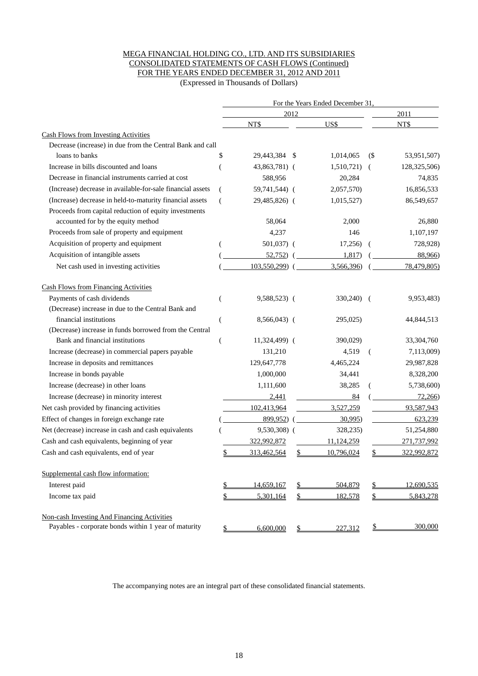### MEGA FINANCIAL HOLDING CO., LTD. AND ITS SUBSIDIARIES CONSOLIDATED STATEMENTS OF CASH FLOWS (Continued) FOR THE YEARS ENDED DECEMBER 31, 2012 AND 2011

(Expressed in Thousands of Dollars)

|                                                            | For the Years Ended December 31 |               |      |            |                             |                |  |  |  |  |  |
|------------------------------------------------------------|---------------------------------|---------------|------|------------|-----------------------------|----------------|--|--|--|--|--|
|                                                            |                                 |               | 2012 |            |                             | 2011           |  |  |  |  |  |
|                                                            |                                 | NT\$          |      | US\$       |                             | NT\$           |  |  |  |  |  |
| <b>Cash Flows from Investing Activities</b>                |                                 |               |      |            |                             |                |  |  |  |  |  |
| Decrease (increase) in due from the Central Bank and call  |                                 |               |      |            |                             |                |  |  |  |  |  |
| loans to banks                                             | \$                              | 29,443,384    | -S   | 1,014,065  | $\left( \mathcal{S}\right)$ | 53,951,507)    |  |  |  |  |  |
| Increase in bills discounted and loans                     |                                 | 43,863,781) ( |      | 1,510,721) | $\left($                    | 128, 325, 506) |  |  |  |  |  |
| Decrease in financial instruments carried at cost          |                                 | 588,956       |      | 20,284     |                             | 74,835         |  |  |  |  |  |
| (Increase) decrease in available-for-sale financial assets | (                               | 59,741,544) ( |      | 2,057,570) |                             | 16,856,533     |  |  |  |  |  |
| (Increase) decrease in held-to-maturity financial assets   | (                               | 29,485,826) ( |      | 1,015,527) |                             | 86,549,657     |  |  |  |  |  |
| Proceeds from capital reduction of equity investments      |                                 |               |      |            |                             |                |  |  |  |  |  |
| accounted for by the equity method                         |                                 | 58,064        |      | 2,000      |                             | 26,880         |  |  |  |  |  |
| Proceeds from sale of property and equipment               |                                 | 4,237         |      | 146        |                             | 1,107,197      |  |  |  |  |  |
| Acquisition of property and equipment                      |                                 | 501,037) (    |      | 17,256)    | $\overline{ }$              | 728,928)       |  |  |  |  |  |
| Acquisition of intangible assets                           |                                 | 52,752)       |      | 1,817)     |                             | 88,966)        |  |  |  |  |  |
| Net cash used in investing activities                      |                                 | 103,550,299)  |      | 3,566,396) |                             | 78,479,805)    |  |  |  |  |  |
| <b>Cash Flows from Financing Activities</b>                |                                 |               |      |            |                             |                |  |  |  |  |  |
| Payments of cash dividends                                 | (                               | 9,588,523) (  |      | 330,240)   | $\overline{ }$              | 9,953,483)     |  |  |  |  |  |
| (Decrease) increase in due to the Central Bank and         |                                 |               |      |            |                             |                |  |  |  |  |  |
| financial institutions                                     | (                               | 8,566,043) (  |      | 295,025)   |                             | 44,844,513     |  |  |  |  |  |
| (Decrease) increase in funds borrowed from the Central     |                                 |               |      |            |                             |                |  |  |  |  |  |
| Bank and financial institutions                            | (                               | 11,324,499) ( |      | 390,029)   |                             | 33,304,760     |  |  |  |  |  |
| Increase (decrease) in commercial papers payable           |                                 | 131,210       |      | 4,519      | (                           | 7,113,009)     |  |  |  |  |  |
| Increase in deposits and remittances                       |                                 | 129,647,778   |      | 4,465,224  |                             | 29,987,828     |  |  |  |  |  |
| Increase in bonds payable                                  |                                 | 1,000,000     |      | 34,441     |                             | 8,328,200      |  |  |  |  |  |
| Increase (decrease) in other loans                         |                                 | 1,111,600     |      | 38,285     |                             | 5,738,600)     |  |  |  |  |  |
| Increase (decrease) in minority interest                   |                                 | 2,441         |      | 84         |                             | 72,266         |  |  |  |  |  |
| Net cash provided by financing activities                  |                                 | 102,413,964   |      | 3,527,259  |                             | 93,587,943     |  |  |  |  |  |
| Effect of changes in foreign exchange rate                 |                                 | 899,952)      |      | 30,995     |                             | 623,239        |  |  |  |  |  |
| Net (decrease) increase in cash and cash equivalents       |                                 | 9,530,308) (  |      | 328,235)   |                             | 51,254,880     |  |  |  |  |  |
| Cash and cash equivalents, beginning of year               |                                 | 322,992,872   |      | 11,124,259 |                             | 271,737,992    |  |  |  |  |  |
| Cash and cash equivalents, end of year                     | \$                              | 313,462,564   | \$   | 10,796,024 |                             | 322,992,872    |  |  |  |  |  |
| Supplemental cash flow information:                        |                                 |               |      |            |                             |                |  |  |  |  |  |
| Interest paid                                              |                                 | 14,659,167    | \$   | 504,879    |                             | 12,690,535     |  |  |  |  |  |
| Income tax paid                                            | \$                              | 5,301,164     | \$   | 182,578    | \$                          | 5,843,278      |  |  |  |  |  |
| Non-cash Investing And Financing Activities                |                                 |               |      |            |                             |                |  |  |  |  |  |
| Payables - corporate bonds within 1 year of maturity       | \$                              | 6,600,000     | \$   | 227,312    | \$                          | 300,000        |  |  |  |  |  |

The accompanying notes are an integral part of these consolidated financial statements.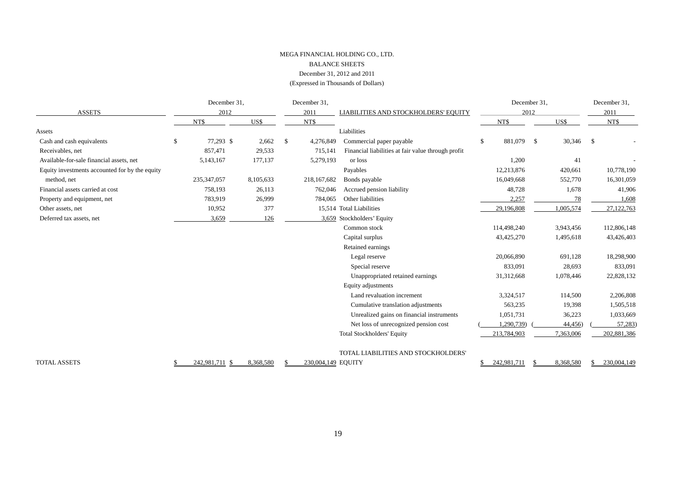### MEGA FINANCIAL HOLDING CO., LTD. BALANCE SHEETS December 31, 2012 and 2011 (Expressed in Thousands of Dollars)

|                                                |    | December 31,  |           |    | December 31,       |                                                    | December 31,     |           | December 31, |             |  |
|------------------------------------------------|----|---------------|-----------|----|--------------------|----------------------------------------------------|------------------|-----------|--------------|-------------|--|
| <b>ASSETS</b>                                  |    | 2012          |           |    | 2011               | LIABILITIES AND STOCKHOLDERS' EQUITY               |                  | 2012      |              | 2011        |  |
|                                                |    | NT\$          | US\$      |    | NT\$               |                                                    | NT\$             | US\$      |              | NT\$        |  |
| Assets                                         |    |               |           |    |                    | Liabilities                                        |                  |           |              |             |  |
| Cash and cash equivalents                      | \$ | 77,293 \$     | 2,662     | \$ | 4,276,849          | Commercial paper payable                           | 881,079 \$<br>\$ |           | 30,346 \$    |             |  |
| Receivables, net                               |    | 857.471       | 29,533    |    | 715,141            | Financial liabilities at fair value through profit |                  |           |              |             |  |
| Available-for-sale financial assets, net       |    | 5,143,167     | 177,137   |    | 5,279,193          | or loss                                            | 1,200            | 41        |              |             |  |
| Equity investments accounted for by the equity |    |               |           |    |                    | Payables                                           | 12,213,876       | 420,661   |              | 10,778,190  |  |
| method, net                                    |    | 235, 347, 057 | 8,105,633 |    | 218,167,682        | Bonds payable                                      | 16,049,668       | 552,770   |              | 16,301,059  |  |
| Financial assets carried at cost               |    | 758,193       | 26,113    |    | 762,046            | Accrued pension liability                          | 48,728           | 1,678     |              | 41,906      |  |
| Property and equipment, net                    |    | 783,919       | 26,999    |    | 784,065            | Other liabilities                                  | 2,257            |           | 78           | 1,608       |  |
| Other assets, net                              |    | 10,952        | 377       |    |                    | 15,514 Total Liabilities                           | 29,196,808       | 1,005,574 |              | 27,122,763  |  |
| Deferred tax assets, net                       |    | 3,659         | 126       |    |                    | 3,659 Stockholders' Equity                         |                  |           |              |             |  |
|                                                |    |               |           |    |                    | Common stock                                       | 114,498,240      | 3,943,456 |              | 112,806,148 |  |
|                                                |    |               |           |    |                    | Capital surplus                                    | 43,425,270       | 1,495,618 |              | 43,426,403  |  |
|                                                |    |               |           |    |                    | Retained earnings                                  |                  |           |              |             |  |
|                                                |    |               |           |    |                    | Legal reserve                                      | 20,066,890       | 691,128   |              | 18,298,900  |  |
|                                                |    |               |           |    |                    | Special reserve                                    | 833,091          | 28,693    |              | 833,091     |  |
|                                                |    |               |           |    |                    | Unappropriated retained earnings                   | 31,312,668       | 1,078,446 |              | 22,828,132  |  |
|                                                |    |               |           |    |                    | Equity adjustments                                 |                  |           |              |             |  |
|                                                |    |               |           |    |                    | Land revaluation increment                         | 3,324,517        | 114,500   |              | 2,206,808   |  |
|                                                |    |               |           |    |                    | Cumulative translation adjustments                 | 563,235          | 19,398    |              | 1,505,518   |  |
|                                                |    |               |           |    |                    | Unrealized gains on financial instruments          | 1,051,731        | 36,223    |              | 1,033,669   |  |
|                                                |    |               |           |    |                    | Net loss of unrecognized pension cost              | 1,290,739)       | 44,456)   |              | 57,283)     |  |
|                                                |    |               |           |    |                    | <b>Total Stockholders' Equity</b>                  | 213,784,903      | 7,363,006 |              | 202,881,386 |  |
|                                                |    |               |           |    |                    | TOTAL LIABILITIES AND STOCKHOLDERS'                |                  |           |              |             |  |
| <b>TOTAL ASSETS</b>                            |    | 242,981,711   | 8,368,580 |    | 230,004,149 EQUITY |                                                    | 242,981,711      | 8,368,580 |              | 230,004,149 |  |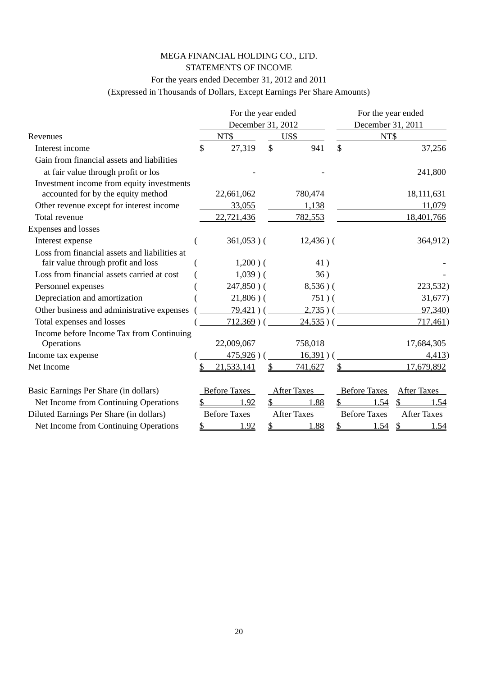### MEGA FINANCIAL HOLDING CO., LTD. STATEMENTS OF INCOME

### For the years ended December 31, 2012 and 2011

(Expressed in Thousands of Dollars, Except Earnings Per Share Amounts)

|                                               | For the year ended  |               |                    | For the year ended |                     |                       |  |  |  |
|-----------------------------------------------|---------------------|---------------|--------------------|--------------------|---------------------|-----------------------|--|--|--|
|                                               | December 31, 2012   |               |                    | December 31, 2011  |                     |                       |  |  |  |
| Revenues                                      | NT\$                |               | US\$               |                    | NT\$                |                       |  |  |  |
| Interest income                               | \$<br>27,319        | $\mathcal{S}$ | 941                | $\mathbf{\hat{S}}$ |                     | 37,256                |  |  |  |
| Gain from financial assets and liabilities    |                     |               |                    |                    |                     |                       |  |  |  |
| at fair value through profit or los           |                     |               |                    |                    |                     | 241,800               |  |  |  |
| Investment income from equity investments     |                     |               |                    |                    |                     |                       |  |  |  |
| accounted for by the equity method            | 22,661,062          |               | 780,474            |                    |                     | 18,111,631            |  |  |  |
| Other revenue except for interest income      | 33,055              |               | 1,138              |                    |                     | 11,079                |  |  |  |
| Total revenue                                 | 22,721,436          |               | 782,553            |                    |                     | 18,401,766            |  |  |  |
| Expenses and losses                           |                     |               |                    |                    |                     |                       |  |  |  |
| Interest expense                              | $361,053$ )(        |               | $12,436$ ) (       |                    |                     | 364,912)              |  |  |  |
| Loss from financial assets and liabilities at |                     |               |                    |                    |                     |                       |  |  |  |
| fair value through profit and loss            | $1,200$ ) (         |               | 41)                |                    |                     |                       |  |  |  |
| Loss from financial assets carried at cost    | $1,039$ ) (         |               | 36)                |                    |                     |                       |  |  |  |
| Personnel expenses                            | $247,850$ ) (       |               | $8,536$ ) (        |                    |                     | 223,532)              |  |  |  |
| Depreciation and amortization                 | $21,806$ ) (        |               | $751)$ (           |                    |                     | 31,677)               |  |  |  |
| Other business and administrative expenses    | $79,421)$ (         |               | $2,735$ )(         |                    |                     | 97,340)               |  |  |  |
| Total expenses and losses                     | $712,369$ )(        |               | $24,535$ ) (       |                    |                     | 717,461               |  |  |  |
| Income before Income Tax from Continuing      |                     |               |                    |                    |                     |                       |  |  |  |
| Operations                                    | 22,009,067          |               | 758,018            |                    |                     | 17,684,305            |  |  |  |
| Income tax expense                            | $475,926$ )         |               | 16,391)            |                    |                     | 4,413)                |  |  |  |
| Net Income                                    | 21,533,141          |               | 741,627            |                    |                     | 17,679,892            |  |  |  |
| Basic Earnings Per Share (in dollars)         | <b>Before Taxes</b> |               | <b>After Taxes</b> |                    | <b>Before Taxes</b> | <b>After Taxes</b>    |  |  |  |
| Net Income from Continuing Operations         | <u>1.92</u>         | \$            | 1.88               |                    | 1.54                | \$<br><u>1.54</u>     |  |  |  |
| Diluted Earnings Per Share (in dollars)       | <b>Before Taxes</b> |               | <b>After Taxes</b> |                    | <b>Before Taxes</b> | <b>After Taxes</b>    |  |  |  |
| Net Income from Continuing Operations         | \$<br>1.92          | \$            | 1.88               | \$                 | 1.54                | $\mathcal{S}$<br>1.54 |  |  |  |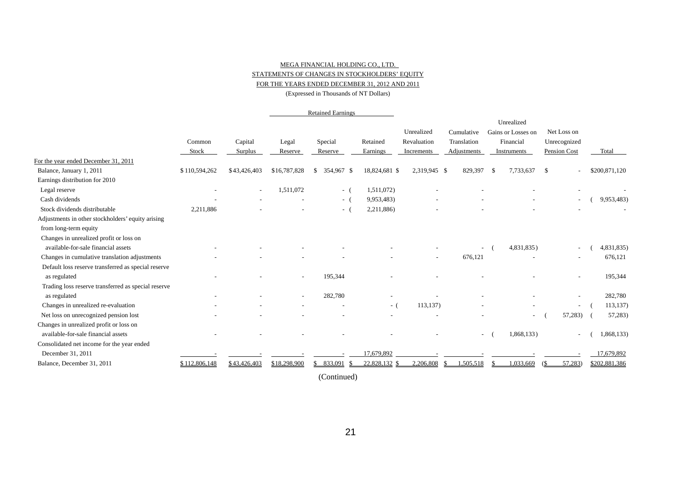### MEGA FINANCIAL HOLDING CO., LTD. STATEMENTS OF CHANGES IN STOCKHOLDERS' EQUITY FOR THE YEARS ENDED DECEMBER 31, 2012 AND 2011

(Expressed in Thousands of NT Dollars)

|                                                     |               |                          |                          | <b>Retained Earnings</b> |               |              |                    |      |                    |                          |               |
|-----------------------------------------------------|---------------|--------------------------|--------------------------|--------------------------|---------------|--------------|--------------------|------|--------------------|--------------------------|---------------|
|                                                     |               |                          |                          |                          |               |              |                    |      | Unrealized         |                          |               |
|                                                     |               |                          |                          |                          |               | Unrealized   | Cumulative         |      | Gains or Losses on | Net Loss on              |               |
|                                                     | Common        | Capital                  | Legal                    | Special                  | Retained      | Revaluation  | Translation        |      | Financial          | Unrecognized             |               |
|                                                     | Stock         | Surplus                  | Reserve                  | Reserve                  | Earnings      | Increments   | <b>Adjustments</b> |      | Instruments        | Pension Cost             | Total         |
| For the year ended December 31, 2011                |               |                          |                          |                          |               |              |                    |      |                    |                          |               |
| Balance, January 1, 2011                            | \$110,594,262 | \$43,426,403             | \$16,787,828             | 354,967 \$<br>\$         | 18,824,681 \$ | 2,319,945 \$ | 829,397            | - \$ | 7,733,637          | \$                       | \$200,871,120 |
| Earnings distribution for 2010                      |               |                          |                          |                          |               |              |                    |      |                    |                          |               |
| Legal reserve                                       | ۰             | $\overline{\phantom{a}}$ | 1,511,072                | $-$ (                    | 1,511,072)    |              |                    |      |                    |                          |               |
| Cash dividends                                      |               |                          |                          | $-$ (                    | 9,953,483)    |              |                    |      |                    | $\overline{\phantom{a}}$ | 9,953,483)    |
| Stock dividends distributable                       | 2,211,886     |                          |                          | $-$ (                    | 2,211,886)    |              |                    |      |                    |                          |               |
| Adjustments in other stockholders' equity arising   |               |                          |                          |                          |               |              |                    |      |                    |                          |               |
| from long-term equity                               |               |                          |                          |                          |               |              |                    |      |                    |                          |               |
| Changes in unrealized profit or loss on             |               |                          |                          |                          |               |              |                    |      |                    |                          |               |
| available-for-sale financial assets                 |               |                          |                          |                          |               |              |                    |      | 4,831,835)         |                          | 4,831,835)    |
| Changes in cumulative translation adjustments       |               |                          |                          |                          |               |              | 676,121            |      |                    |                          | 676,121       |
| Default loss reserve transferred as special reserve |               |                          |                          |                          |               |              |                    |      |                    |                          |               |
| as regulated                                        |               |                          | $\overline{\phantom{a}}$ | 195,344                  |               |              |                    |      |                    | $\overline{\phantom{a}}$ | 195,344       |
| Trading loss reserve transferred as special reserve |               |                          |                          |                          |               |              |                    |      |                    |                          |               |
| as regulated                                        |               |                          |                          | 282,780                  |               |              |                    |      |                    |                          | 282,780       |
| Changes in unrealized re-evaluation                 |               |                          |                          |                          | $-$ (         | 113,137)     |                    |      |                    | $\overline{\phantom{a}}$ | 113,137)      |
| Net loss on unrecognized pension lost               |               |                          |                          |                          |               |              |                    |      | ٠                  | 57,283)                  | 57,283)       |
| Changes in unrealized profit or loss on             |               |                          |                          |                          |               |              |                    |      |                    |                          |               |
| available-for-sale financial assets                 |               |                          |                          |                          |               |              | $\sim$             |      | 1,868,133)         | $\overline{\phantom{a}}$ | 1,868,133)    |
| Consolidated net income for the year ended          |               |                          |                          |                          |               |              |                    |      |                    |                          |               |
| December 31, 2011                                   |               |                          |                          |                          | 17,679,892    |              |                    |      |                    |                          | 17,679,892    |
| Balance, December 31, 2011                          | \$112,806,148 | \$43,426,403             | \$18,298,900             | \$833,091                | 22,828,132 \$ | 2,206,808    | 1,505,518          |      | 1,033,669          | 57,283                   | \$202,881,386 |

(Continued)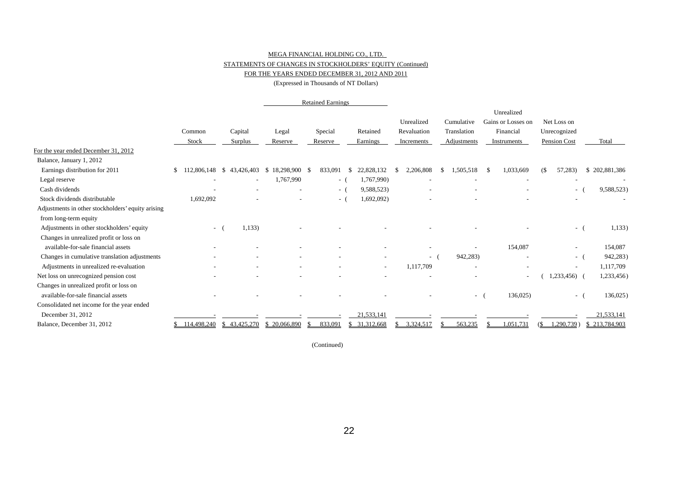### MEGA FINANCIAL HOLDING CO., LTD.

### STATEMENTS OF CHANGES IN STOCKHOLDERS' EQUITY (Continued)

### FOR THE YEARS ENDED DECEMBER 31, 2012 AND 2011

(Expressed in Thousands of NT Dollars)

|                                                   |                          |                    |                    | <b>Retained Earnings</b> |                               |                          |             |                          |                                  |                          |               |
|---------------------------------------------------|--------------------------|--------------------|--------------------|--------------------------|-------------------------------|--------------------------|-------------|--------------------------|----------------------------------|--------------------------|---------------|
|                                                   |                          |                    |                    |                          |                               |                          | Unrealized  | Cumulative               | Unrealized<br>Gains or Losses on | Net Loss on              |               |
|                                                   | Common                   | Capital            | Legal              | Special                  | Retained                      |                          | Revaluation | Translation              | Financial                        | Unrecognized             |               |
|                                                   | Stock                    | Surplus            | Reserve            | Reserve                  | Earnings                      |                          | Increments  | Adjustments              | Instruments                      | Pension Cost             | Total         |
| For the year ended December 31, 2012              |                          |                    |                    |                          |                               |                          |             |                          |                                  |                          |               |
| Balance, January 1, 2012                          |                          |                    |                    |                          |                               |                          |             |                          |                                  |                          |               |
| Earnings distribution for 2011                    | 112,806,148<br>\$.       | 43,426,403<br>- \$ | $$18,298,900$ \ \$ | 833,091                  | 22,828,132<br>- \$            |                          | 2,206,808   | 1,505,518<br>£.          | 1,033,669<br>£.                  | 57,283)<br>(\$           | \$202,881,386 |
| Legal reserve                                     | $\overline{\phantom{a}}$ |                    | 1,767,990          | $-1$                     | 1,767,990)                    |                          |             |                          |                                  |                          |               |
| Cash dividends                                    |                          |                    |                    | $\sim$ $-$               | 9,588,523)                    |                          |             |                          |                                  | $\sim$                   | 9,588,523)    |
| Stock dividends distributable                     | 1,692,092                |                    |                    | $\sim$                   | 1,692,092)                    |                          |             |                          |                                  |                          |               |
| Adjustments in other stockholders' equity arising |                          |                    |                    |                          |                               |                          |             |                          |                                  |                          |               |
| from long-term equity                             |                          |                    |                    |                          |                               |                          |             |                          |                                  |                          |               |
| Adjustments in other stockholders' equity         | $-$ (                    | 1,133)             |                    |                          |                               |                          |             |                          |                                  | н.                       | 1,133)        |
| Changes in unrealized profit or loss on           |                          |                    |                    |                          |                               |                          |             |                          |                                  |                          |               |
| available-for-sale financial assets               |                          |                    |                    |                          |                               |                          |             |                          | 154,087                          |                          | 154,087       |
| Changes in cumulative translation adjustments     |                          |                    |                    |                          |                               |                          | $-$ (       | 942,283)                 |                                  | $\sim$ $-$               | 942,283)      |
| Adjustments in unrealized re-evaluation           |                          |                    |                    |                          |                               | $\overline{\phantom{a}}$ | 1,117,709   |                          |                                  | $\overline{\phantom{a}}$ | 1,117,709     |
| Net loss on unrecognized pension cost             |                          |                    |                    |                          |                               |                          |             |                          |                                  | 1,233,456)               | 1,233,456)    |
| Changes in unrealized profit or loss on           |                          |                    |                    |                          |                               |                          |             |                          |                                  |                          |               |
| available-for-sale financial assets               |                          |                    |                    |                          |                               |                          |             | $\overline{\phantom{a}}$ | 136,025                          | $\sim$                   | 136,025       |
| Consolidated net income for the year ended        |                          |                    |                    |                          |                               |                          |             |                          |                                  |                          |               |
| December 31, 2012                                 |                          |                    |                    |                          | 21,533,141                    |                          |             |                          |                                  |                          | 21,533,141    |
| Balance, December 31, 2012                        | \$114,498,240            | \$43,425,270       | \$20,066,890       | 833,091<br>-8            | 31, 312, 668<br><sup>\$</sup> |                          | 3,324,517   | 563,235                  | 1,051,731                        | .290,739)<br>(S          | \$213,784,903 |

(Continued)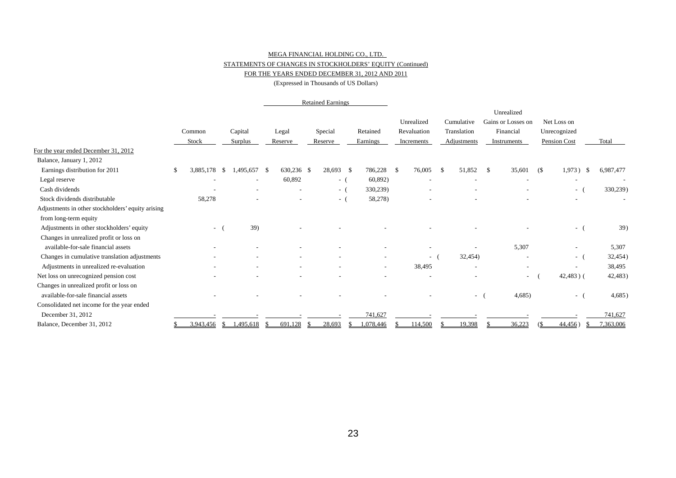### MEGA FINANCIAL HOLDING CO., LTD. STATEMENTS OF CHANGES IN STOCKHOLDERS' EQUITY (Continued)

### FOR THE YEARS ENDED DECEMBER 31, 2012 AND 2011

(Expressed in Thousands of US Dollars)

|                                                   |   |                 |       |                          |    |                  |    | <b>Retained Earnings</b> |                          |      |                                         |    |                                          |               |                                                              |    |                                             |      |           |
|---------------------------------------------------|---|-----------------|-------|--------------------------|----|------------------|----|--------------------------|--------------------------|------|-----------------------------------------|----|------------------------------------------|---------------|--------------------------------------------------------------|----|---------------------------------------------|------|-----------|
|                                                   |   | Common<br>Stock |       | Capital<br>Surplus       |    | Legal<br>Reserve |    | Special<br>Reserve       | Retained<br>Earnings     |      | Unrealized<br>Revaluation<br>Increments |    | Cumulative<br>Translation<br>Adjustments |               | Unrealized<br>Gains or Losses on<br>Financial<br>Instruments |    | Net Loss on<br>Unrecognized<br>Pension Cost |      | Total     |
| For the year ended December 31, 2012              |   |                 |       |                          |    |                  |    |                          |                          |      |                                         |    |                                          |               |                                                              |    |                                             |      |           |
| Balance, January 1, 2012                          |   |                 |       |                          |    |                  |    |                          |                          |      |                                         |    |                                          |               |                                                              |    |                                             |      |           |
| Earnings distribution for 2011                    | S | 3,885,178       | - \$  | 1,495,657 \$             |    | 630,236 \$       |    | 28,693 \$                | 786,228                  | - \$ | 76,005                                  | -S | 51,852                                   | <sup>\$</sup> | 35,601                                                       | (S | 1,973)                                      | - \$ | 6,987,477 |
| Legal reserve                                     |   |                 |       | $\overline{\phantom{a}}$ |    | 60,892           |    | $-$ (                    | 60,892)                  |      |                                         |    |                                          |               |                                                              |    | $\overline{\phantom{a}}$                    |      |           |
| Cash dividends                                    |   |                 |       |                          |    |                  |    | $-$ (                    | 330,239)                 |      |                                         |    |                                          |               |                                                              |    | $\sim$                                      |      | 330,239)  |
| Stock dividends distributable                     |   | 58,278          |       |                          |    |                  |    | $-$ (                    | 58,278)                  |      |                                         |    |                                          |               |                                                              |    | $\overline{\phantom{a}}$                    |      |           |
| Adjustments in other stockholders' equity arising |   |                 |       |                          |    |                  |    |                          |                          |      |                                         |    |                                          |               |                                                              |    |                                             |      |           |
| from long-term equity                             |   |                 |       |                          |    |                  |    |                          |                          |      |                                         |    |                                          |               |                                                              |    |                                             |      |           |
| Adjustments in other stockholders' equity         |   |                 | $-$ ( | 39)                      |    |                  |    |                          |                          |      |                                         |    |                                          |               |                                                              |    | $-$ (                                       |      | 39)       |
| Changes in unrealized profit or loss on           |   |                 |       |                          |    |                  |    |                          |                          |      |                                         |    |                                          |               |                                                              |    |                                             |      |           |
| available-for-sale financial assets               |   |                 |       |                          |    |                  |    |                          |                          |      |                                         |    |                                          |               | 5,307                                                        |    |                                             |      | 5,307     |
| Changes in cumulative translation adjustments     |   |                 |       |                          |    |                  |    |                          |                          |      | $ -$                                    |    | 32,454)                                  |               |                                                              |    | $ -$                                        |      | 32,454)   |
| Adjustments in unrealized re-evaluation           |   |                 |       |                          |    |                  |    |                          | $\overline{\phantom{0}}$ |      | 38,495                                  |    | $\overline{\phantom{a}}$                 |               | $\overline{\phantom{a}}$                                     |    | $\overline{\phantom{a}}$                    |      | 38,495    |
| Net loss on unrecognized pension cost             |   |                 |       |                          |    |                  |    |                          |                          |      |                                         |    |                                          |               | $\sim$                                                       |    | $42,483$ ) (                                |      | 42,483)   |
| Changes in unrealized profit or loss on           |   |                 |       |                          |    |                  |    |                          |                          |      |                                         |    |                                          |               |                                                              |    |                                             |      |           |
| available-for-sale financial assets               |   |                 |       |                          |    |                  |    |                          |                          |      |                                         |    | $\sim$                                   |               | 4,685)                                                       |    | $\sim$                                      |      | 4,685)    |
| Consolidated net income for the year ended        |   |                 |       |                          |    |                  |    |                          |                          |      |                                         |    |                                          |               |                                                              |    |                                             |      |           |
| December 31, 2012                                 |   |                 |       |                          |    |                  |    |                          | 741,627                  |      |                                         |    |                                          |               |                                                              |    |                                             |      | 741,627   |
| Balance, December 31, 2012                        |   | 3,943,456       | - S   | 1,495,618                | -S | 691,128          | Ж, | 28,693                   | 1,078,446                |      | 114,500                                 |    | 19,398                                   |               | 36,223                                                       |    | 44,456)                                     |      | 7,363,006 |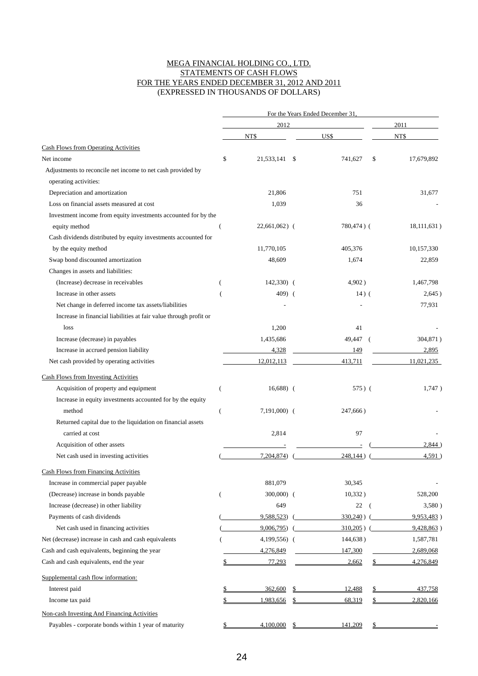### MEGA FINANCIAL HOLDING CO., LTD. STATEMENTS OF CASH FLOWS FOR THE YEARS ENDED DECEMBER 31, 2012 AND 2011 (EXPRESSED IN THOUSANDS OF DOLLARS)

|                                                                   |                |                | For the Years Ended December 31. |                  |
|-------------------------------------------------------------------|----------------|----------------|----------------------------------|------------------|
|                                                                   |                | 2012           |                                  | 2011             |
|                                                                   |                | NT\$           | US\$                             | NT\$             |
| Cash Flows from Operating Activities                              |                |                |                                  |                  |
| Net income                                                        | \$             | 21,533,141 \$  | 741.627                          | \$<br>17,679,892 |
| Adjustments to reconcile net income to net cash provided by       |                |                |                                  |                  |
| operating activities:                                             |                |                |                                  |                  |
| Depreciation and amortization                                     |                | 21,806         | 751                              | 31,677           |
| Loss on financial assets measured at cost                         |                | 1,039          | 36                               |                  |
| Investment income from equity investments accounted for by the    |                |                |                                  |                  |
| equity method                                                     |                | $22,661,062$ ( | 780,474) (                       | 18,111,631)      |
| Cash dividends distributed by equity investments accounted for    |                |                |                                  |                  |
| by the equity method                                              |                | 11,770,105     | 405,376                          | 10,157,330       |
| Swap bond discounted amortization                                 |                | 48,609         | 1,674                            | 22,859           |
| Changes in assets and liabilities:                                |                |                |                                  |                  |
| (Increase) decrease in receivables                                |                | $142,330)$ (   | 4,902)                           | 1,467,798        |
| Increase in other assets                                          |                | 409) (         | $14)$ (                          | 2,645)           |
| Net change in deferred income tax assets/liabilities              |                |                |                                  | 77,931           |
| Increase in financial liabilities at fair value through profit or |                |                |                                  |                  |
| loss                                                              |                | 1,200          | 41                               |                  |
| Increase (decrease) in payables                                   |                | 1,435,686      | 49,447<br>(                      | 304,871)         |
| Increase in accrued pension liability                             |                | 4,328          | 149                              | 2,895            |
| Net cash provided by operating activities                         |                | 12,012,113     | 413,711                          | 11,021,235       |
| <b>Cash Flows from Investing Activities</b>                       |                |                |                                  |                  |
| Acquisition of property and equipment                             | (              | $16,688$ (     | $575)$ (                         | 1,747            |
| Increase in equity investments accounted for by the equity        |                |                |                                  |                  |
| method                                                            | $\overline{(}$ | $7,191,000$ (  | 247,666)                         |                  |
| Returned capital due to the liquidation on financial assets       |                |                |                                  |                  |
| carried at cost                                                   |                | 2,814          | 97                               |                  |
| Acquisition of other assets                                       |                |                |                                  | 2.844            |
| Net cash used in investing activities                             |                | 7,204,874)     | 248,144)                         | 4,591)           |
| <b>Cash Flows from Financing Activities</b>                       |                |                |                                  |                  |
| Increase in commercial paper payable                              |                | 881,079        | 30,345                           |                  |
| (Decrease) increase in bonds payable                              | (              | $300,000$ (    | 10,332)                          | 528,200          |
| Increase (decrease) in other liability                            |                | 649            | 22<br>- (                        | 3,580)           |
| Payments of cash dividends                                        |                | 9,588,523)     | 330,240)                         | 9,953,483        |
| Net cash used in financing activities                             |                | 9,006,795)     | $310,205$ ) (                    | 9,428,863        |
| Net (decrease) increase in cash and cash equivalents              |                | 4,199,556) (   | 144,638)                         | 1,587,781        |
| Cash and cash equivalents, beginning the year                     |                | 4,276,849      | 147,300                          | 2,689,068        |
| Cash and cash equivalents, end the year                           |                | 77,293         | 2,662                            | 4,276,849        |
|                                                                   |                |                |                                  |                  |
| Supplemental cash flow information:                               |                |                |                                  |                  |
| Interest paid                                                     |                | 362,600        | 12,488                           | 437,758          |
| Income tax paid                                                   |                | 1,983,656      | 68,319                           | 2,820,166        |
| Non-cash Investing And Financing Activities                       |                |                |                                  |                  |
| Payables - corporate bonds within 1 year of maturity              |                | 4,100,000      | 141,209                          |                  |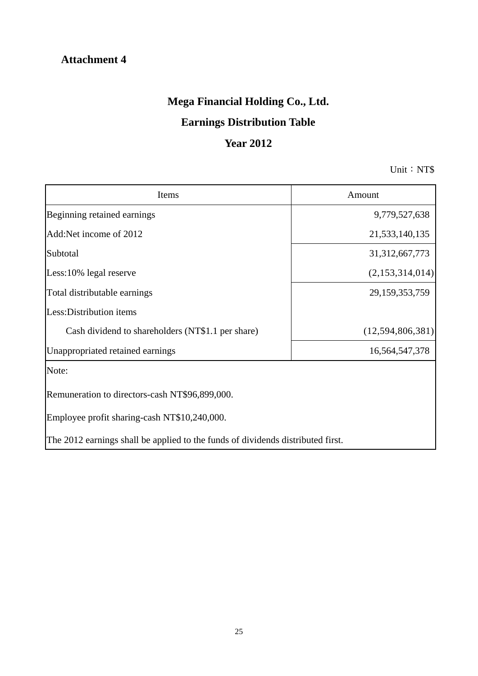# **Attachment 4**

# **Mega Financial Holding Co., Ltd.**

# **Earnings Distribution Table**

# **Year 2012**

Unit: NT\$

| Items                                                                           | Amount            |
|---------------------------------------------------------------------------------|-------------------|
| Beginning retained earnings                                                     | 9,779,527,638     |
| Add:Net income of 2012                                                          | 21,533,140,135    |
| Subtotal                                                                        | 31, 312, 667, 773 |
| Less:10% legal reserve                                                          | (2,153,314,014)   |
| Total distributable earnings                                                    | 29,159,353,759    |
| Less: Distribution items                                                        |                   |
| Cash dividend to shareholders (NT\$1.1 per share)                               | (12,594,806,381)  |
| Unappropriated retained earnings                                                | 16,564,547,378    |
| Note:                                                                           |                   |
| Remuneration to directors-cash NT\$96,899,000.                                  |                   |
| Employee profit sharing-cash NT\$10,240,000.                                    |                   |
| The 2012 earnings shall be applied to the funds of dividends distributed first. |                   |